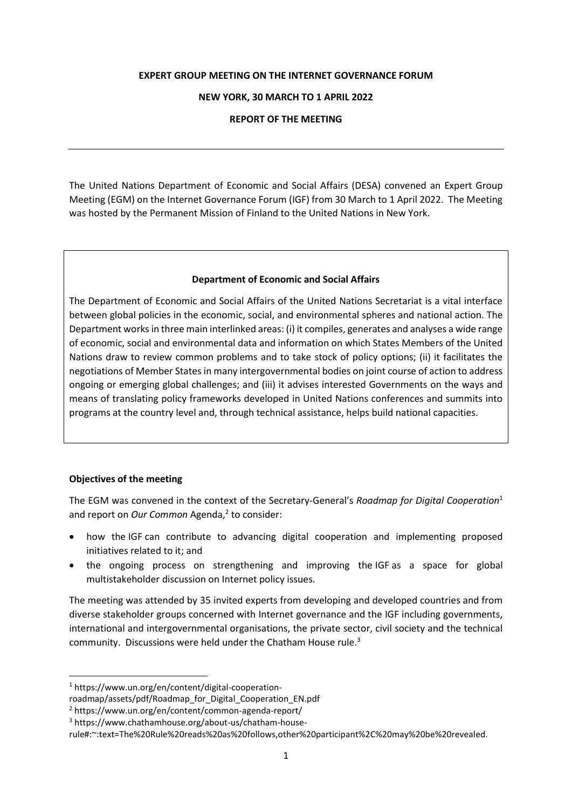#### **EXPERT GROUP MEETING ON THE INTERNET GOVERNANCE FORUM**

#### **NEW YORK, 30 MARCH TO 1 APRIL 2022**

### **REPORT OF THE MEETING**

The United Nations Department of Economic and Social Affairs (DESA) convened an Expert Group Meeting (EGM) on the Internet Governance Forum (IGF) from 30 March to 1 April 2022. The Meeting was hosted by the Permanent Mission of Finland to the United Nations in New York.

### **Department of Economic and Social Affairs**

The Department of Economic and Social Affairs of the United Nations Secretariat is a vital interface between global policies in the economic, social, and environmental spheres and national action. The Department works in three main interlinked areas: (i) it compiles, generates and analyses a wide range of economic, social and environmental data and information on which States Members of the United Nations draw to review common problems and to take stock of policy options; (ii) it facilitates the negotiations of Member States in many intergovernmental bodies on joint course of action to address ongoing or emerging global challenges; and (iii) it advises interested Governments on the ways and means of translating policy frameworks developed in United Nations conferences and summits into programs at the country level and, through technical assistance, helps build national capacities.

### **Objectives of the meeting**

The EGM was convened in the context of the Secretary-General's *Roadmap for Digital Cooperation*<sup>1</sup> and report on *Our Common* Agenda, 2 to consider:

- how the IGF can contribute to advancing digital cooperation and implementing proposed initiatives related to it; and
- the ongoing process on strengthening and improving the IGF as a space for global multistakeholder discussion on Internet policy issues.

The meeting was attended by 35 invited experts from developing and developed countries and from diverse stakeholder groups concerned with Internet governance and the IGF including governments, international and intergovernmental organisations, the private sector, civil society and the technical community. Discussions were held under the Chatham House rule.<sup>3</sup>

<sup>1</sup> https://www.un.org/en/content/digital-cooperation-

roadmap/assets/pdf/Roadmap\_for\_Digital\_Cooperation\_EN.pdf

<sup>2</sup> https://www.un.org/en/content/common-agenda-report/

<sup>3</sup> https://www.chathamhouse.org/about-us/chatham-house-

rule#:~:text=The%20Rule%20reads%20as%20follows,other%20participant%2C%20may%20be%20revealed.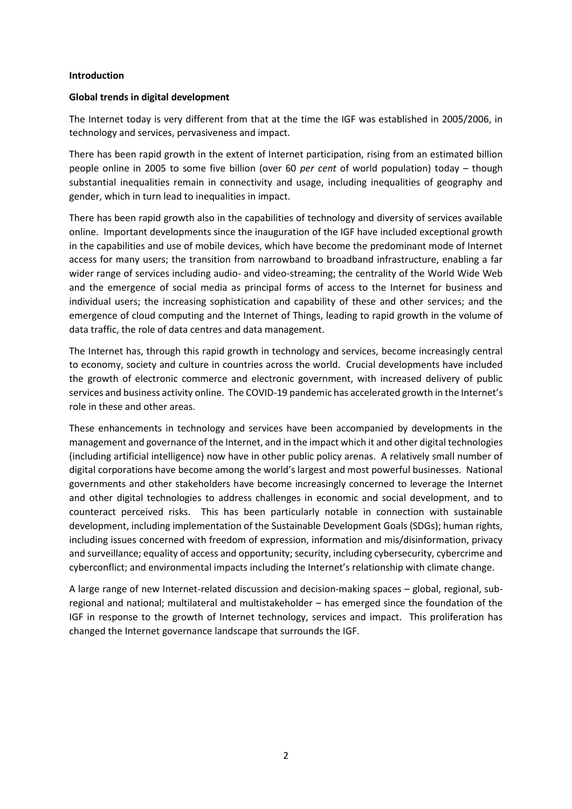#### **Introduction**

### **Global trends in digital development**

The Internet today is very different from that at the time the IGF was established in 2005/2006, in technology and services, pervasiveness and impact.

There has been rapid growth in the extent of Internet participation, rising from an estimated billion people online in 2005 to some five billion (over 60 *per cent* of world population) today – though substantial inequalities remain in connectivity and usage, including inequalities of geography and gender, which in turn lead to inequalities in impact.

There has been rapid growth also in the capabilities of technology and diversity of services available online. Important developments since the inauguration of the IGF have included exceptional growth in the capabilities and use of mobile devices, which have become the predominant mode of Internet access for many users; the transition from narrowband to broadband infrastructure, enabling a far wider range of services including audio- and video-streaming; the centrality of the World Wide Web and the emergence of social media as principal forms of access to the Internet for business and individual users; the increasing sophistication and capability of these and other services; and the emergence of cloud computing and the Internet of Things, leading to rapid growth in the volume of data traffic, the role of data centres and data management.

The Internet has, through this rapid growth in technology and services, become increasingly central to economy, society and culture in countries across the world. Crucial developments have included the growth of electronic commerce and electronic government, with increased delivery of public services and business activity online. The COVID-19 pandemic has accelerated growth in the Internet's role in these and other areas.

These enhancements in technology and services have been accompanied by developments in the management and governance of the Internet, and in the impact which it and other digital technologies (including artificial intelligence) now have in other public policy arenas. A relatively small number of digital corporations have become among the world's largest and most powerful businesses. National governments and other stakeholders have become increasingly concerned to leverage the Internet and other digital technologies to address challenges in economic and social development, and to counteract perceived risks. This has been particularly notable in connection with sustainable development, including implementation of the Sustainable Development Goals (SDGs); human rights, including issues concerned with freedom of expression, information and mis/disinformation, privacy and surveillance; equality of access and opportunity; security, including cybersecurity, cybercrime and cyberconflict; and environmental impacts including the Internet's relationship with climate change.

A large range of new Internet-related discussion and decision-making spaces – global, regional, subregional and national; multilateral and multistakeholder – has emerged since the foundation of the IGF in response to the growth of Internet technology, services and impact. This proliferation has changed the Internet governance landscape that surrounds the IGF.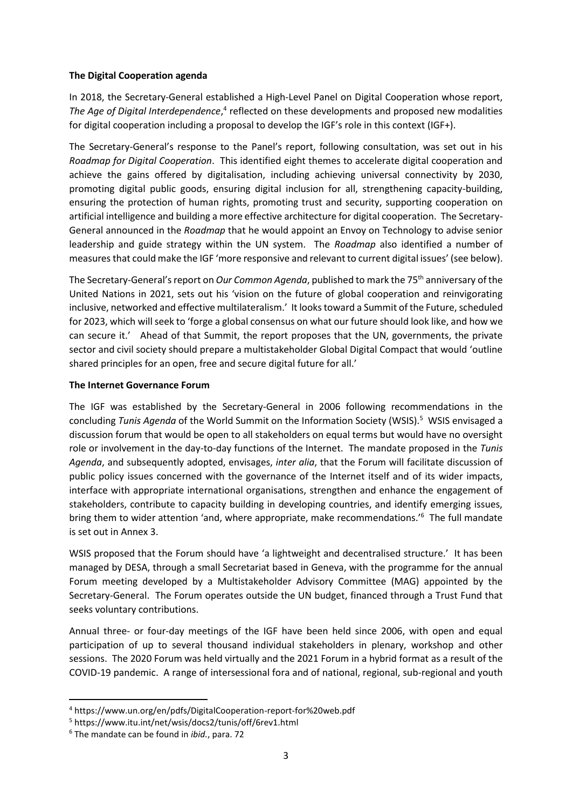# **The Digital Cooperation agenda**

In 2018, the Secretary-General established a High-Level Panel on Digital Cooperation whose report, The Age of Digital Interdependence,<sup>4</sup> reflected on these developments and proposed new modalities for digital cooperation including a proposal to develop the IGF's role in this context (IGF+).

The Secretary-General's response to the Panel's report, following consultation, was set out in his *Roadmap for Digital Cooperation*. This identified eight themes to accelerate digital cooperation and achieve the gains offered by digitalisation, including achieving universal connectivity by 2030, promoting digital public goods, ensuring digital inclusion for all, strengthening capacity-building, ensuring the protection of human rights, promoting trust and security, supporting cooperation on artificial intelligence and building a more effective architecture for digital cooperation. The Secretary-General announced in the *Roadmap* that he would appoint an Envoy on Technology to advise senior leadership and guide strategy within the UN system. The *Roadmap* also identified a number of measures that could make the IGF 'more responsive and relevant to current digital issues' (see below).

The Secretary-General's report on *Our Common Agenda*, published to mark the 75th anniversary of the United Nations in 2021, sets out his 'vision on the future of global cooperation and reinvigorating inclusive, networked and effective multilateralism.' It looks toward a Summit of the Future, scheduled for 2023, which willseek to 'forge a global consensus on what our future should look like, and how we can secure it.' Ahead of that Summit, the report proposes that the UN, governments, the private sector and civil society should prepare a multistakeholder Global Digital Compact that would 'outline shared principles for an open, free and secure digital future for all.'

# **The Internet Governance Forum**

The IGF was established by the Secretary-General in 2006 following recommendations in the concluding *Tunis Agenda* of the World Summit on the Information Society (WSIS).<sup>5</sup> WSIS envisaged a discussion forum that would be open to all stakeholders on equal terms but would have no oversight role or involvement in the day-to-day functions of the Internet. The mandate proposed in the *Tunis Agenda*, and subsequently adopted, envisages, *inter alia*, that the Forum will facilitate discussion of public policy issues concerned with the governance of the Internet itself and of its wider impacts, interface with appropriate international organisations, strengthen and enhance the engagement of stakeholders, contribute to capacity building in developing countries, and identify emerging issues, bring them to wider attention 'and, where appropriate, make recommendations.<sup>'6</sup> The full mandate is set out in Annex 3.

WSIS proposed that the Forum should have 'a lightweight and decentralised structure.' It has been managed by DESA, through a small Secretariat based in Geneva, with the programme for the annual Forum meeting developed by a Multistakeholder Advisory Committee (MAG) appointed by the Secretary-General. The Forum operates outside the UN budget, financed through a Trust Fund that seeks voluntary contributions.

Annual three- or four-day meetings of the IGF have been held since 2006, with open and equal participation of up to several thousand individual stakeholders in plenary, workshop and other sessions. The 2020 Forum was held virtually and the 2021 Forum in a hybrid format as a result of the COVID-19 pandemic. A range of intersessional fora and of national, regional, sub-regional and youth

<sup>4</sup> https://www.un.org/en/pdfs/DigitalCooperation-report-for%20web.pdf

<sup>5</sup> https://www.itu.int/net/wsis/docs2/tunis/off/6rev1.html

<sup>6</sup> The mandate can be found in *ibid.*, para. 72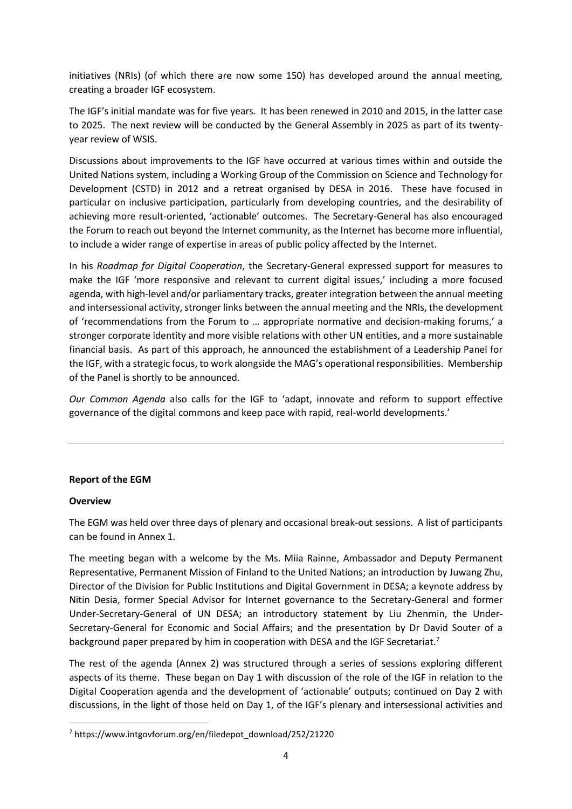initiatives (NRIs) (of which there are now some 150) has developed around the annual meeting, creating a broader IGF ecosystem.

The IGF's initial mandate was for five years. It has been renewed in 2010 and 2015, in the latter case to 2025. The next review will be conducted by the General Assembly in 2025 as part of its twentyyear review of WSIS.

Discussions about improvements to the IGF have occurred at various times within and outside the United Nations system, including a Working Group of the Commission on Science and Technology for Development (CSTD) in 2012 and a retreat organised by DESA in 2016. These have focused in particular on inclusive participation, particularly from developing countries, and the desirability of achieving more result-oriented, 'actionable' outcomes. The Secretary-General has also encouraged the Forum to reach out beyond the Internet community, as the Internet has become more influential, to include a wider range of expertise in areas of public policy affected by the Internet.

In his *Roadmap for Digital Cooperation*, the Secretary-General expressed support for measures to make the IGF 'more responsive and relevant to current digital issues,' including a more focused agenda, with high-level and/or parliamentary tracks, greater integration between the annual meeting and intersessional activity, stronger links between the annual meeting and the NRIs, the development of 'recommendations from the Forum to … appropriate normative and decision-making forums,' a stronger corporate identity and more visible relations with other UN entities, and a more sustainable financial basis. As part of this approach, he announced the establishment of a Leadership Panel for the IGF, with a strategic focus, to work alongside the MAG's operational responsibilities. Membership of the Panel is shortly to be announced.

*Our Common Agenda* also calls for the IGF to 'adapt, innovate and reform to support effective governance of the digital commons and keep pace with rapid, real-world developments.'

# **Report of the EGM**

### **Overview**

The EGM was held over three days of plenary and occasional break-out sessions. A list of participants can be found in Annex 1.

The meeting began with a welcome by the Ms. Miia Rainne, Ambassador and Deputy Permanent Representative, Permanent Mission of Finland to the United Nations; an introduction by Juwang Zhu, Director of the Division for Public Institutions and Digital Government in DESA; a keynote address by Nitin Desia, former Special Advisor for Internet governance to the Secretary-General and former Under-Secretary-General of UN DESA; an introductory statement by Liu Zhenmin, the Under-Secretary-General for Economic and Social Affairs; and the presentation by Dr David Souter of a background paper prepared by him in cooperation with DESA and the IGF Secretariat.<sup>7</sup>

The rest of the agenda (Annex 2) was structured through a series of sessions exploring different aspects of its theme. These began on Day 1 with discussion of the role of the IGF in relation to the Digital Cooperation agenda and the development of 'actionable' outputs; continued on Day 2 with discussions, in the light of those held on Day 1, of the IGF's plenary and intersessional activities and

<sup>7</sup> [https://www.intgovforum.org/en/filedepot\\_download/252/21220](https://www.intgovforum.org/en/filedepot_download/252/21220)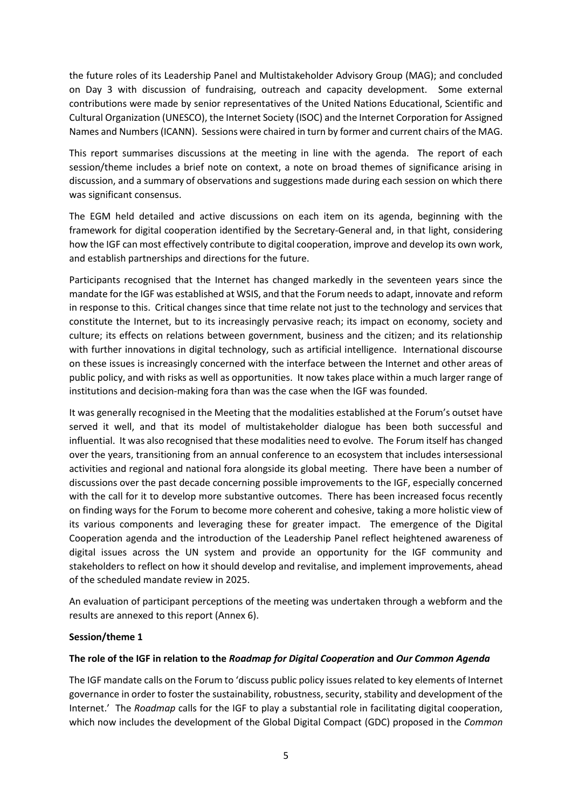the future roles of its Leadership Panel and Multistakeholder Advisory Group (MAG); and concluded on Day 3 with discussion of fundraising, outreach and capacity development. Some external contributions were made by senior representatives of the United Nations Educational, Scientific and Cultural Organization (UNESCO), the Internet Society (ISOC) and the Internet Corporation for Assigned Names and Numbers (ICANN). Sessions were chaired in turn by former and current chairs of the MAG.

This report summarises discussions at the meeting in line with the agenda. The report of each session/theme includes a brief note on context, a note on broad themes of significance arising in discussion, and a summary of observations and suggestions made during each session on which there was significant consensus.

The EGM held detailed and active discussions on each item on its agenda, beginning with the framework for digital cooperation identified by the Secretary-General and, in that light, considering how the IGF can most effectively contribute to digital cooperation, improve and develop its own work, and establish partnerships and directions for the future.

Participants recognised that the Internet has changed markedly in the seventeen years since the mandate for the IGF was established at WSIS, and that the Forum needs to adapt, innovate and reform in response to this. Critical changes since that time relate not just to the technology and services that constitute the Internet, but to its increasingly pervasive reach; its impact on economy, society and culture; its effects on relations between government, business and the citizen; and its relationship with further innovations in digital technology, such as artificial intelligence. International discourse on these issues is increasingly concerned with the interface between the Internet and other areas of public policy, and with risks as well as opportunities. It now takes place within a much larger range of institutions and decision-making fora than was the case when the IGF was founded.

It was generally recognised in the Meeting that the modalities established at the Forum's outset have served it well, and that its model of multistakeholder dialogue has been both successful and influential. It was also recognised that these modalities need to evolve. The Forum itself has changed over the years, transitioning from an annual conference to an ecosystem that includes intersessional activities and regional and national fora alongside its global meeting. There have been a number of discussions over the past decade concerning possible improvements to the IGF, especially concerned with the call for it to develop more substantive outcomes. There has been increased focus recently on finding ways for the Forum to become more coherent and cohesive, taking a more holistic view of its various components and leveraging these for greater impact. The emergence of the Digital Cooperation agenda and the introduction of the Leadership Panel reflect heightened awareness of digital issues across the UN system and provide an opportunity for the IGF community and stakeholders to reflect on how it should develop and revitalise, and implement improvements, ahead of the scheduled mandate review in 2025.

An evaluation of participant perceptions of the meeting was undertaken through a webform and the results are annexed to this report (Annex 6).

# **Session/theme 1**

### **The role of the IGF in relation to the** *Roadmap for Digital Cooperation* **and** *Our Common Agenda*

The IGF mandate calls on the Forum to 'discuss public policy issues related to key elements of Internet governance in order to foster the sustainability, robustness, security, stability and development of the Internet.' The *Roadmap* calls for the IGF to play a substantial role in facilitating digital cooperation, which now includes the development of the Global Digital Compact (GDC) proposed in the *Common*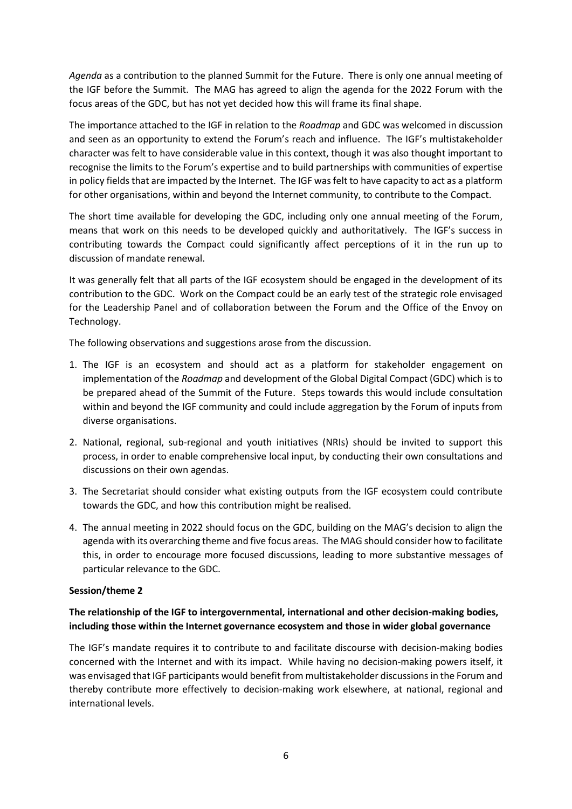*Agenda* as a contribution to the planned Summit for the Future. There is only one annual meeting of the IGF before the Summit. The MAG has agreed to align the agenda for the 2022 Forum with the focus areas of the GDC, but has not yet decided how this will frame its final shape.

The importance attached to the IGF in relation to the *Roadmap* and GDC was welcomed in discussion and seen as an opportunity to extend the Forum's reach and influence. The IGF's multistakeholder character was felt to have considerable value in this context, though it was also thought important to recognise the limits to the Forum's expertise and to build partnerships with communities of expertise in policy fields that are impacted by the Internet. The IGF was felt to have capacity to act as a platform for other organisations, within and beyond the Internet community, to contribute to the Compact.

The short time available for developing the GDC, including only one annual meeting of the Forum, means that work on this needs to be developed quickly and authoritatively. The IGF's success in contributing towards the Compact could significantly affect perceptions of it in the run up to discussion of mandate renewal.

It was generally felt that all parts of the IGF ecosystem should be engaged in the development of its contribution to the GDC. Work on the Compact could be an early test of the strategic role envisaged for the Leadership Panel and of collaboration between the Forum and the Office of the Envoy on Technology.

The following observations and suggestions arose from the discussion.

- 1. The IGF is an ecosystem and should act as a platform for stakeholder engagement on implementation of the *Roadmap* and development of the Global Digital Compact (GDC) which is to be prepared ahead of the Summit of the Future. Steps towards this would include consultation within and beyond the IGF community and could include aggregation by the Forum of inputs from diverse organisations.
- 2. National, regional, sub-regional and youth initiatives (NRIs) should be invited to support this process, in order to enable comprehensive local input, by conducting their own consultations and discussions on their own agendas.
- 3. The Secretariat should consider what existing outputs from the IGF ecosystem could contribute towards the GDC, and how this contribution might be realised.
- 4. The annual meeting in 2022 should focus on the GDC, building on the MAG's decision to align the agenda with its overarching theme and five focus areas. The MAG should consider how to facilitate this, in order to encourage more focused discussions, leading to more substantive messages of particular relevance to the GDC.

### **Session/theme 2**

# **The relationship of the IGF to intergovernmental, international and other decision-making bodies, including those within the Internet governance ecosystem and those in wider global governance**

The IGF's mandate requires it to contribute to and facilitate discourse with decision-making bodies concerned with the Internet and with its impact. While having no decision-making powers itself, it was envisaged that IGF participants would benefit from multistakeholder discussions in the Forum and thereby contribute more effectively to decision-making work elsewhere, at national, regional and international levels.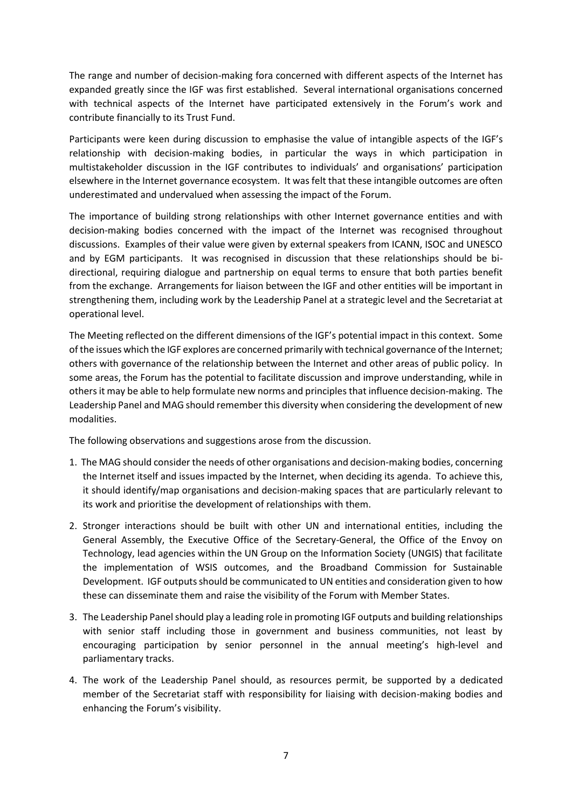The range and number of decision-making fora concerned with different aspects of the Internet has expanded greatly since the IGF was first established. Several international organisations concerned with technical aspects of the Internet have participated extensively in the Forum's work and contribute financially to its Trust Fund.

Participants were keen during discussion to emphasise the value of intangible aspects of the IGF's relationship with decision-making bodies, in particular the ways in which participation in multistakeholder discussion in the IGF contributes to individuals' and organisations' participation elsewhere in the Internet governance ecosystem. It was felt that these intangible outcomes are often underestimated and undervalued when assessing the impact of the Forum.

The importance of building strong relationships with other Internet governance entities and with decision-making bodies concerned with the impact of the Internet was recognised throughout discussions. Examples of their value were given by external speakers from ICANN, ISOC and UNESCO and by EGM participants. It was recognised in discussion that these relationships should be bidirectional, requiring dialogue and partnership on equal terms to ensure that both parties benefit from the exchange. Arrangements for liaison between the IGF and other entities will be important in strengthening them, including work by the Leadership Panel at a strategic level and the Secretariat at operational level.

The Meeting reflected on the different dimensions of the IGF's potential impact in this context. Some of the issues which the IGF explores are concerned primarily with technical governance of the Internet; others with governance of the relationship between the Internet and other areas of public policy. In some areas, the Forum has the potential to facilitate discussion and improve understanding, while in others it may be able to help formulate new norms and principles that influence decision-making. The Leadership Panel and MAG should remember this diversity when considering the development of new modalities.

The following observations and suggestions arose from the discussion.

- 1. The MAG should consider the needs of other organisations and decision-making bodies, concerning the Internet itself and issues impacted by the Internet, when deciding its agenda. To achieve this, it should identify/map organisations and decision-making spaces that are particularly relevant to its work and prioritise the development of relationships with them.
- 2. Stronger interactions should be built with other UN and international entities, including the General Assembly, the Executive Office of the Secretary-General, the Office of the Envoy on Technology, lead agencies within the UN Group on the Information Society (UNGIS) that facilitate the implementation of WSIS outcomes, and the Broadband Commission for Sustainable Development. IGF outputs should be communicated to UN entities and consideration given to how these can disseminate them and raise the visibility of the Forum with Member States.
- 3. The Leadership Panel should play a leading role in promoting IGF outputs and building relationships with senior staff including those in government and business communities, not least by encouraging participation by senior personnel in the annual meeting's high-level and parliamentary tracks.
- 4. The work of the Leadership Panel should, as resources permit, be supported by a dedicated member of the Secretariat staff with responsibility for liaising with decision-making bodies and enhancing the Forum's visibility.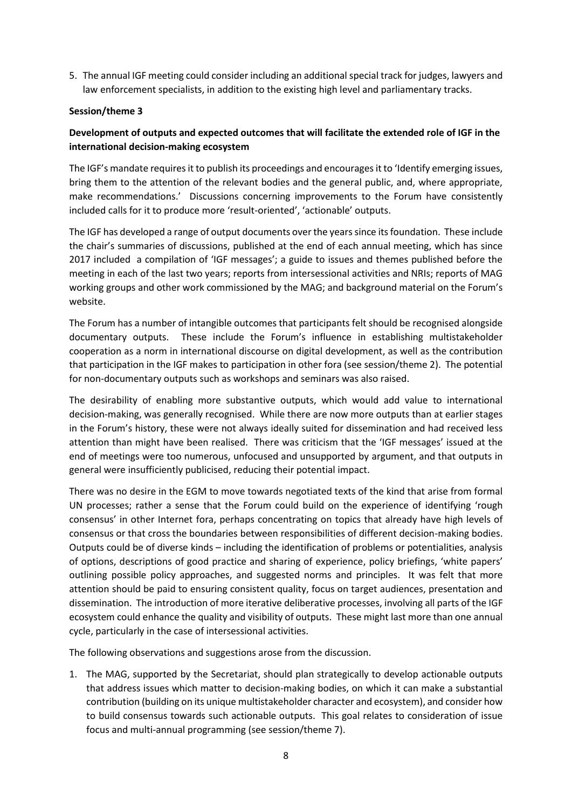5. The annual IGF meeting could consider including an additional special track for judges, lawyers and law enforcement specialists, in addition to the existing high level and parliamentary tracks.

# **Session/theme 3**

# **Development of outputs and expected outcomes that will facilitate the extended role of IGF in the international decision-making ecosystem**

The IGF's mandate requires it to publish its proceedings and encourages it to 'Identify emerging issues, bring them to the attention of the relevant bodies and the general public, and, where appropriate, make recommendations.' Discussions concerning improvements to the Forum have consistently included calls for it to produce more 'result-oriented', 'actionable' outputs.

The IGF has developed a range of output documents over the years since its foundation. These include the chair's summaries of discussions, published at the end of each annual meeting, which has since 2017 included a compilation of 'IGF messages'; a guide to issues and themes published before the meeting in each of the last two years; reports from intersessional activities and NRIs; reports of MAG working groups and other work commissioned by the MAG; and background material on the Forum's website.

The Forum has a number of intangible outcomes that participants felt should be recognised alongside documentary outputs. These include the Forum's influence in establishing multistakeholder cooperation as a norm in international discourse on digital development, as well as the contribution that participation in the IGF makes to participation in other fora (see session/theme 2). The potential for non-documentary outputs such as workshops and seminars was also raised.

The desirability of enabling more substantive outputs, which would add value to international decision-making, was generally recognised. While there are now more outputs than at earlier stages in the Forum's history, these were not always ideally suited for dissemination and had received less attention than might have been realised. There was criticism that the 'IGF messages' issued at the end of meetings were too numerous, unfocused and unsupported by argument, and that outputs in general were insufficiently publicised, reducing their potential impact.

There was no desire in the EGM to move towards negotiated texts of the kind that arise from formal UN processes; rather a sense that the Forum could build on the experience of identifying 'rough consensus' in other Internet fora, perhaps concentrating on topics that already have high levels of consensus or that cross the boundaries between responsibilities of different decision-making bodies. Outputs could be of diverse kinds – including the identification of problems or potentialities, analysis of options, descriptions of good practice and sharing of experience, policy briefings, 'white papers' outlining possible policy approaches, and suggested norms and principles. It was felt that more attention should be paid to ensuring consistent quality, focus on target audiences, presentation and dissemination. The introduction of more iterative deliberative processes, involving all parts of the IGF ecosystem could enhance the quality and visibility of outputs. These might last more than one annual cycle, particularly in the case of intersessional activities.

The following observations and suggestions arose from the discussion.

1. The MAG, supported by the Secretariat, should plan strategically to develop actionable outputs that address issues which matter to decision-making bodies, on which it can make a substantial contribution (building on its unique multistakeholder character and ecosystem), and consider how to build consensus towards such actionable outputs. This goal relates to consideration of issue focus and multi-annual programming (see session/theme 7).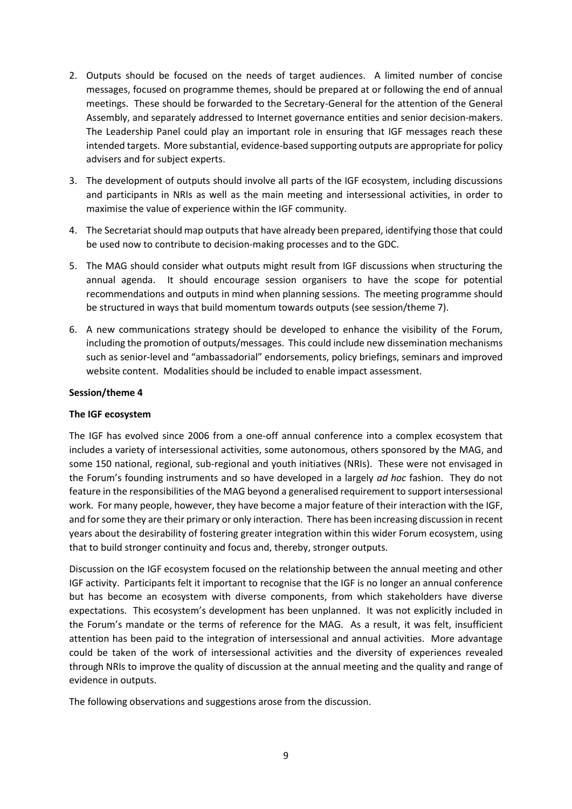- 2. Outputs should be focused on the needs of target audiences. A limited number of concise messages, focused on programme themes, should be prepared at or following the end of annual meetings. These should be forwarded to the Secretary-General for the attention of the General Assembly, and separately addressed to Internet governance entities and senior decision-makers. The Leadership Panel could play an important role in ensuring that IGF messages reach these intended targets. More substantial, evidence-based supporting outputs are appropriate for policy advisers and for subject experts.
- 3. The development of outputs should involve all parts of the IGF ecosystem, including discussions and participants in NRIs as well as the main meeting and intersessional activities, in order to maximise the value of experience within the IGF community.
- 4. The Secretariat should map outputs that have already been prepared, identifying those that could be used now to contribute to decision-making processes and to the GDC.
- 5. The MAG should consider what outputs might result from IGF discussions when structuring the annual agenda. It should encourage session organisers to have the scope for potential recommendations and outputs in mind when planning sessions. The meeting programme should be structured in ways that build momentum towards outputs (see session/theme 7).
- 6. A new communications strategy should be developed to enhance the visibility of the Forum, including the promotion of outputs/messages. This could include new dissemination mechanisms such as senior-level and "ambassadorial" endorsements, policy briefings, seminars and improved website content. Modalities should be included to enable impact assessment.

### **Session/theme 4**

### **The IGF ecosystem**

The IGF has evolved since 2006 from a one-off annual conference into a complex ecosystem that includes a variety of intersessional activities, some autonomous, others sponsored by the MAG, and some 150 national, regional, sub-regional and youth initiatives (NRIs). These were not envisaged in the Forum's founding instruments and so have developed in a largely *ad hoc* fashion. They do not feature in the responsibilities of the MAG beyond a generalised requirement to support intersessional work. For many people, however, they have become a major feature of their interaction with the IGF, and for some they are their primary or only interaction. There has been increasing discussion in recent years about the desirability of fostering greater integration within this wider Forum ecosystem, using that to build stronger continuity and focus and, thereby, stronger outputs.

Discussion on the IGF ecosystem focused on the relationship between the annual meeting and other IGF activity. Participants felt it important to recognise that the IGF is no longer an annual conference but has become an ecosystem with diverse components, from which stakeholders have diverse expectations. This ecosystem's development has been unplanned. It was not explicitly included in the Forum's mandate or the terms of reference for the MAG. As a result, it was felt, insufficient attention has been paid to the integration of intersessional and annual activities. More advantage could be taken of the work of intersessional activities and the diversity of experiences revealed through NRIs to improve the quality of discussion at the annual meeting and the quality and range of evidence in outputs.

The following observations and suggestions arose from the discussion.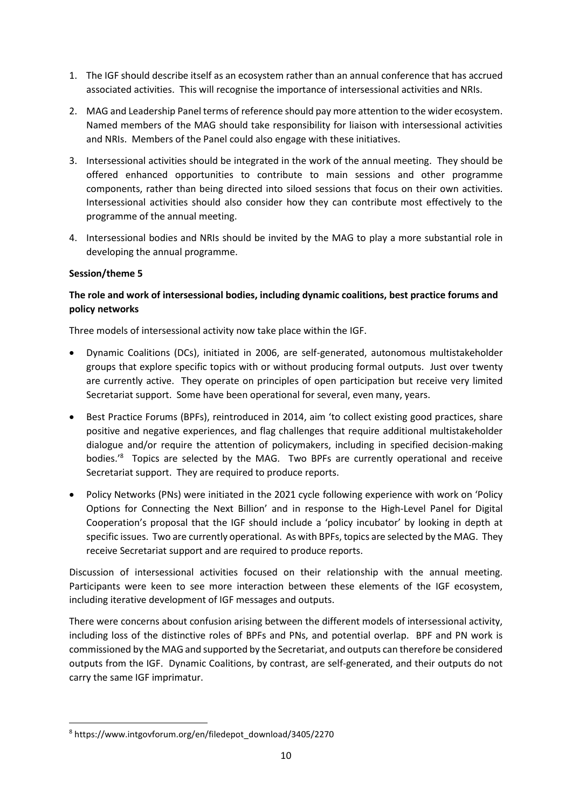- 1. The IGF should describe itself as an ecosystem rather than an annual conference that has accrued associated activities. This will recognise the importance of intersessional activities and NRIs.
- 2. MAG and Leadership Panel terms of reference should pay more attention to the wider ecosystem. Named members of the MAG should take responsibility for liaison with intersessional activities and NRIs. Members of the Panel could also engage with these initiatives.
- 3. Intersessional activities should be integrated in the work of the annual meeting. They should be offered enhanced opportunities to contribute to main sessions and other programme components, rather than being directed into siloed sessions that focus on their own activities. Intersessional activities should also consider how they can contribute most effectively to the programme of the annual meeting.
- 4. Intersessional bodies and NRIs should be invited by the MAG to play a more substantial role in developing the annual programme.

# **Session/theme 5**

# **The role and work of intersessional bodies, including dynamic coalitions, best practice forums and policy networks**

Three models of intersessional activity now take place within the IGF.

- Dynamic Coalitions (DCs), initiated in 2006, are self-generated, autonomous multistakeholder groups that explore specific topics with or without producing formal outputs. Just over twenty are currently active. They operate on principles of open participation but receive very limited Secretariat support. Some have been operational for several, even many, years.
- Best Practice Forums (BPFs), reintroduced in 2014, aim 'to collect existing good practices, share positive and negative experiences, and flag challenges that require additional multistakeholder dialogue and/or require the attention of policymakers, including in specified decision-making bodies.<sup>'8</sup> Topics are selected by the MAG. Two BPFs are currently operational and receive Secretariat support. They are required to produce reports.
- Policy Networks (PNs) were initiated in the 2021 cycle following experience with work on 'Policy Options for Connecting the Next Billion' and in response to the High-Level Panel for Digital Cooperation's proposal that the IGF should include a 'policy incubator' by looking in depth at specific issues. Two are currently operational. As with BPFs, topics are selected by the MAG. They receive Secretariat support and are required to produce reports.

Discussion of intersessional activities focused on their relationship with the annual meeting. Participants were keen to see more interaction between these elements of the IGF ecosystem, including iterative development of IGF messages and outputs.

There were concerns about confusion arising between the different models of intersessional activity, including loss of the distinctive roles of BPFs and PNs, and potential overlap. BPF and PN work is commissioned by the MAG and supported by the Secretariat, and outputs can therefore be considered outputs from the IGF. Dynamic Coalitions, by contrast, are self-generated, and their outputs do not carry the same IGF imprimatur.

<sup>8</sup> https://www.intgovforum.org/en/filedepot\_download/3405/2270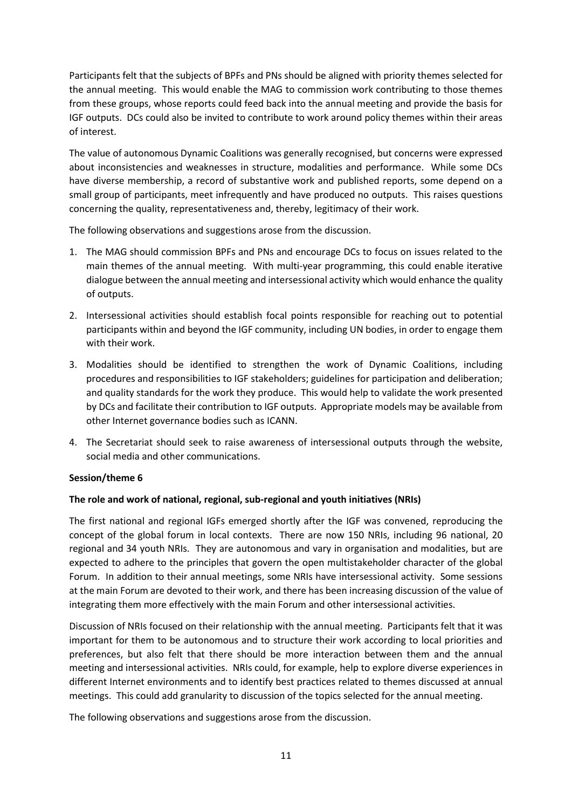Participants felt that the subjects of BPFs and PNs should be aligned with priority themes selected for the annual meeting. This would enable the MAG to commission work contributing to those themes from these groups, whose reports could feed back into the annual meeting and provide the basis for IGF outputs. DCs could also be invited to contribute to work around policy themes within their areas of interest.

The value of autonomous Dynamic Coalitions was generally recognised, but concerns were expressed about inconsistencies and weaknesses in structure, modalities and performance. While some DCs have diverse membership, a record of substantive work and published reports, some depend on a small group of participants, meet infrequently and have produced no outputs. This raises questions concerning the quality, representativeness and, thereby, legitimacy of their work.

The following observations and suggestions arose from the discussion.

- 1. The MAG should commission BPFs and PNs and encourage DCs to focus on issues related to the main themes of the annual meeting. With multi-year programming, this could enable iterative dialogue between the annual meeting and intersessional activity which would enhance the quality of outputs.
- 2. Intersessional activities should establish focal points responsible for reaching out to potential participants within and beyond the IGF community, including UN bodies, in order to engage them with their work.
- 3. Modalities should be identified to strengthen the work of Dynamic Coalitions, including procedures and responsibilities to IGF stakeholders; guidelines for participation and deliberation; and quality standards for the work they produce. This would help to validate the work presented by DCs and facilitate their contribution to IGF outputs. Appropriate models may be available from other Internet governance bodies such as ICANN.
- 4. The Secretariat should seek to raise awareness of intersessional outputs through the website, social media and other communications.

# **Session/theme 6**

### **The role and work of national, regional, sub-regional and youth initiatives (NRIs)**

The first national and regional IGFs emerged shortly after the IGF was convened, reproducing the concept of the global forum in local contexts. There are now 150 NRIs, including 96 national, 20 regional and 34 youth NRIs. They are autonomous and vary in organisation and modalities, but are expected to adhere to the principles that govern the open multistakeholder character of the global Forum. In addition to their annual meetings, some NRIs have intersessional activity. Some sessions at the main Forum are devoted to their work, and there has been increasing discussion of the value of integrating them more effectively with the main Forum and other intersessional activities.

Discussion of NRIs focused on their relationship with the annual meeting. Participants felt that it was important for them to be autonomous and to structure their work according to local priorities and preferences, but also felt that there should be more interaction between them and the annual meeting and intersessional activities. NRIs could, for example, help to explore diverse experiences in different Internet environments and to identify best practices related to themes discussed at annual meetings. This could add granularity to discussion of the topics selected for the annual meeting.

The following observations and suggestions arose from the discussion.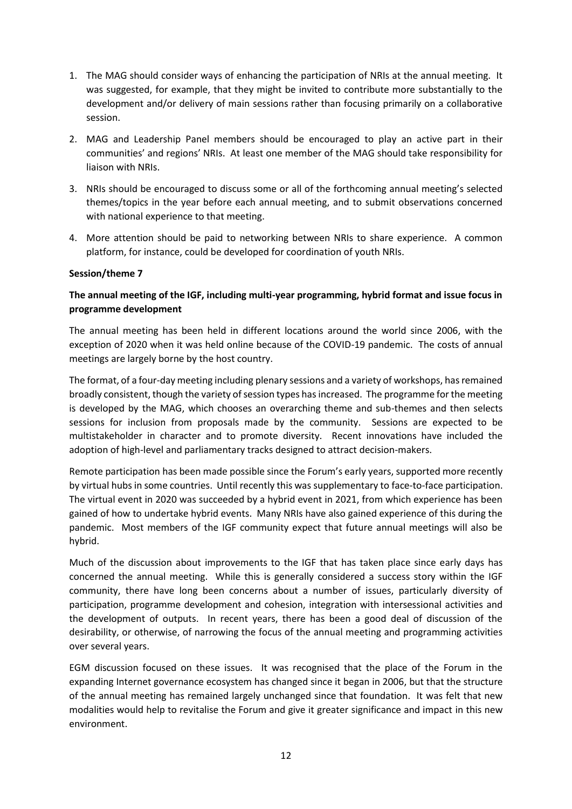- 1. The MAG should consider ways of enhancing the participation of NRIs at the annual meeting. It was suggested, for example, that they might be invited to contribute more substantially to the development and/or delivery of main sessions rather than focusing primarily on a collaborative session.
- 2. MAG and Leadership Panel members should be encouraged to play an active part in their communities' and regions' NRIs. At least one member of the MAG should take responsibility for liaison with NRIs.
- 3. NRIs should be encouraged to discuss some or all of the forthcoming annual meeting's selected themes/topics in the year before each annual meeting, and to submit observations concerned with national experience to that meeting.
- 4. More attention should be paid to networking between NRIs to share experience. A common platform, for instance, could be developed for coordination of youth NRIs.

### **Session/theme 7**

# **The annual meeting of the IGF, including multi-year programming, hybrid format and issue focus in programme development**

The annual meeting has been held in different locations around the world since 2006, with the exception of 2020 when it was held online because of the COVID-19 pandemic. The costs of annual meetings are largely borne by the host country.

The format, of a four-day meeting including plenary sessions and a variety of workshops, has remained broadly consistent, though the variety of session types has increased. The programme for the meeting is developed by the MAG, which chooses an overarching theme and sub-themes and then selects sessions for inclusion from proposals made by the community. Sessions are expected to be multistakeholder in character and to promote diversity. Recent innovations have included the adoption of high-level and parliamentary tracks designed to attract decision-makers.

Remote participation has been made possible since the Forum's early years, supported more recently by virtual hubs in some countries. Until recently this was supplementary to face-to-face participation. The virtual event in 2020 was succeeded by a hybrid event in 2021, from which experience has been gained of how to undertake hybrid events. Many NRIs have also gained experience of this during the pandemic. Most members of the IGF community expect that future annual meetings will also be hybrid.

Much of the discussion about improvements to the IGF that has taken place since early days has concerned the annual meeting. While this is generally considered a success story within the IGF community, there have long been concerns about a number of issues, particularly diversity of participation, programme development and cohesion, integration with intersessional activities and the development of outputs. In recent years, there has been a good deal of discussion of the desirability, or otherwise, of narrowing the focus of the annual meeting and programming activities over several years.

EGM discussion focused on these issues. It was recognised that the place of the Forum in the expanding Internet governance ecosystem has changed since it began in 2006, but that the structure of the annual meeting has remained largely unchanged since that foundation. It was felt that new modalities would help to revitalise the Forum and give it greater significance and impact in this new environment.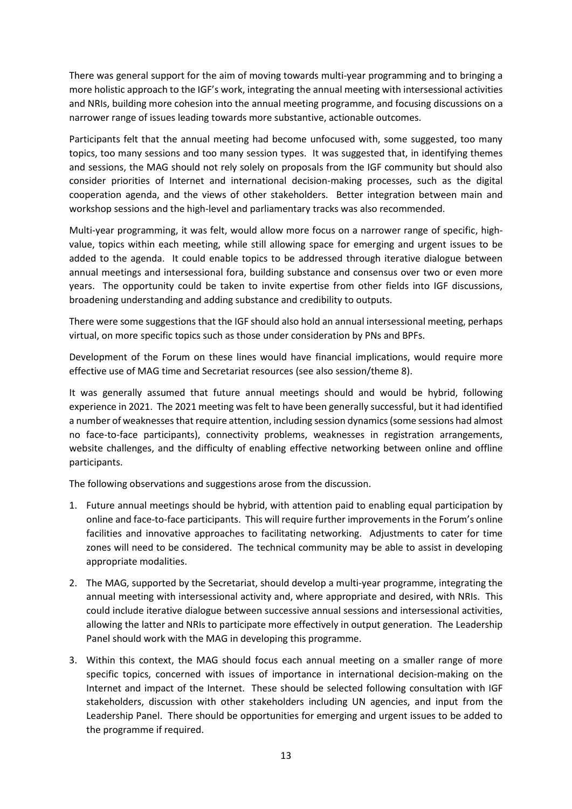There was general support for the aim of moving towards multi-year programming and to bringing a more holistic approach to the IGF's work, integrating the annual meeting with intersessional activities and NRIs, building more cohesion into the annual meeting programme, and focusing discussions on a narrower range of issues leading towards more substantive, actionable outcomes.

Participants felt that the annual meeting had become unfocused with, some suggested, too many topics, too many sessions and too many session types. It was suggested that, in identifying themes and sessions, the MAG should not rely solely on proposals from the IGF community but should also consider priorities of Internet and international decision-making processes, such as the digital cooperation agenda, and the views of other stakeholders. Better integration between main and workshop sessions and the high-level and parliamentary tracks was also recommended.

Multi-year programming, it was felt, would allow more focus on a narrower range of specific, highvalue, topics within each meeting, while still allowing space for emerging and urgent issues to be added to the agenda. It could enable topics to be addressed through iterative dialogue between annual meetings and intersessional fora, building substance and consensus over two or even more years. The opportunity could be taken to invite expertise from other fields into IGF discussions, broadening understanding and adding substance and credibility to outputs.

There were some suggestions that the IGF should also hold an annual intersessional meeting, perhaps virtual, on more specific topics such as those under consideration by PNs and BPFs.

Development of the Forum on these lines would have financial implications, would require more effective use of MAG time and Secretariat resources (see also session/theme 8).

It was generally assumed that future annual meetings should and would be hybrid, following experience in 2021. The 2021 meeting was felt to have been generally successful, but it had identified a number of weaknesses that require attention, including session dynamics (some sessions had almost no face-to-face participants), connectivity problems, weaknesses in registration arrangements, website challenges, and the difficulty of enabling effective networking between online and offline participants.

The following observations and suggestions arose from the discussion.

- 1. Future annual meetings should be hybrid, with attention paid to enabling equal participation by online and face-to-face participants. This will require further improvements in the Forum's online facilities and innovative approaches to facilitating networking. Adjustments to cater for time zones will need to be considered. The technical community may be able to assist in developing appropriate modalities.
- 2. The MAG, supported by the Secretariat, should develop a multi-year programme, integrating the annual meeting with intersessional activity and, where appropriate and desired, with NRIs. This could include iterative dialogue between successive annual sessions and intersessional activities, allowing the latter and NRIs to participate more effectively in output generation. The Leadership Panel should work with the MAG in developing this programme.
- 3. Within this context, the MAG should focus each annual meeting on a smaller range of more specific topics, concerned with issues of importance in international decision-making on the Internet and impact of the Internet. These should be selected following consultation with IGF stakeholders, discussion with other stakeholders including UN agencies, and input from the Leadership Panel. There should be opportunities for emerging and urgent issues to be added to the programme if required.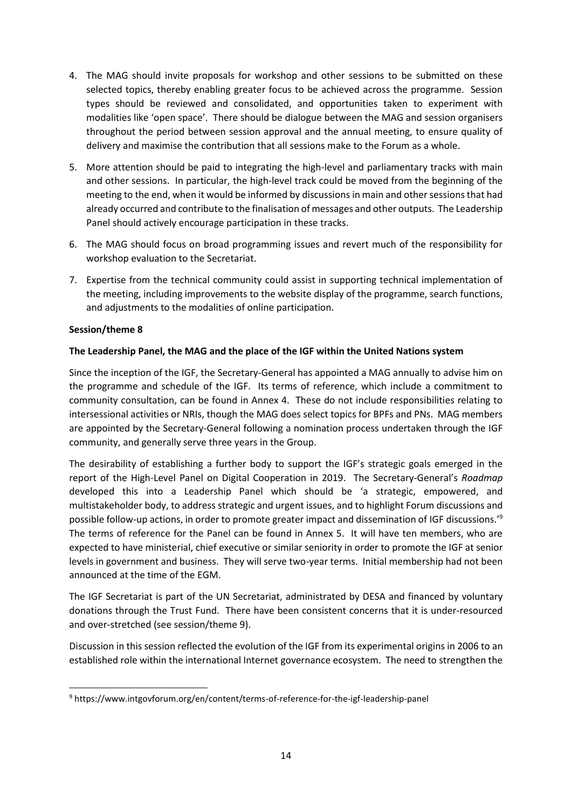- 4. The MAG should invite proposals for workshop and other sessions to be submitted on these selected topics, thereby enabling greater focus to be achieved across the programme. Session types should be reviewed and consolidated, and opportunities taken to experiment with modalities like 'open space'. There should be dialogue between the MAG and session organisers throughout the period between session approval and the annual meeting, to ensure quality of delivery and maximise the contribution that all sessions make to the Forum as a whole.
- 5. More attention should be paid to integrating the high-level and parliamentary tracks with main and other sessions. In particular, the high-level track could be moved from the beginning of the meeting to the end, when it would be informed by discussions in main and other sessions that had already occurred and contribute to the finalisation of messages and other outputs. The Leadership Panel should actively encourage participation in these tracks.
- 6. The MAG should focus on broad programming issues and revert much of the responsibility for workshop evaluation to the Secretariat.
- 7. Expertise from the technical community could assist in supporting technical implementation of the meeting, including improvements to the website display of the programme, search functions, and adjustments to the modalities of online participation.

# **Session/theme 8**

# **The Leadership Panel, the MAG and the place of the IGF within the United Nations system**

Since the inception of the IGF, the Secretary-General has appointed a MAG annually to advise him on the programme and schedule of the IGF. Its terms of reference, which include a commitment to community consultation, can be found in Annex 4. These do not include responsibilities relating to intersessional activities or NRIs, though the MAG does select topics for BPFs and PNs. MAG members are appointed by the Secretary-General following a nomination process undertaken through the IGF community, and generally serve three years in the Group.

The desirability of establishing a further body to support the IGF's strategic goals emerged in the report of the High-Level Panel on Digital Cooperation in 2019. The Secretary-General's *Roadmap* developed this into a Leadership Panel which should be 'a strategic, empowered, and multistakeholder body, to address strategic and urgent issues, and to highlight Forum discussions and possible follow-up actions, in order to promote greater impact and dissemination of IGF discussions.'<sup>9</sup> The terms of reference for the Panel can be found in Annex 5. It will have ten members, who are expected to have ministerial, chief executive or similar seniority in order to promote the IGF at senior levels in government and business. They will serve two-year terms. Initial membership had not been announced at the time of the EGM.

The IGF Secretariat is part of the UN Secretariat, administrated by DESA and financed by voluntary donations through the Trust Fund. There have been consistent concerns that it is under-resourced and over-stretched (see session/theme 9).

Discussion in this session reflected the evolution of the IGF from its experimental origins in 2006 to an established role within the international Internet governance ecosystem. The need to strengthen the

<sup>9</sup> <https://www.intgovforum.org/en/content/terms-of-reference-for-the-igf-leadership-panel>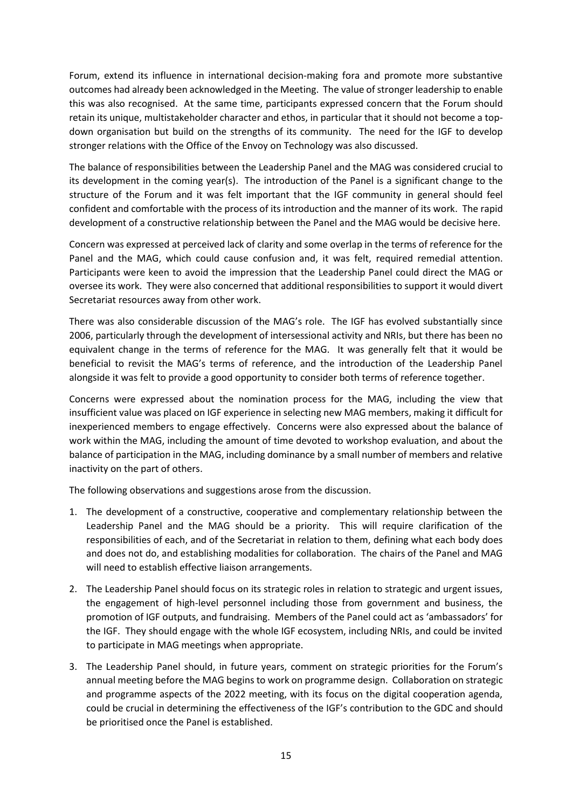Forum, extend its influence in international decision-making fora and promote more substantive outcomes had already been acknowledged in the Meeting. The value of stronger leadership to enable this was also recognised. At the same time, participants expressed concern that the Forum should retain its unique, multistakeholder character and ethos, in particular that it should not become a topdown organisation but build on the strengths of its community. The need for the IGF to develop stronger relations with the Office of the Envoy on Technology was also discussed.

The balance of responsibilities between the Leadership Panel and the MAG was considered crucial to its development in the coming year(s). The introduction of the Panel is a significant change to the structure of the Forum and it was felt important that the IGF community in general should feel confident and comfortable with the process of its introduction and the manner of its work. The rapid development of a constructive relationship between the Panel and the MAG would be decisive here.

Concern was expressed at perceived lack of clarity and some overlap in the terms of reference for the Panel and the MAG, which could cause confusion and, it was felt, required remedial attention. Participants were keen to avoid the impression that the Leadership Panel could direct the MAG or oversee its work. They were also concerned that additional responsibilities to support it would divert Secretariat resources away from other work.

There was also considerable discussion of the MAG's role. The IGF has evolved substantially since 2006, particularly through the development of intersessional activity and NRIs, but there has been no equivalent change in the terms of reference for the MAG. It was generally felt that it would be beneficial to revisit the MAG's terms of reference, and the introduction of the Leadership Panel alongside it was felt to provide a good opportunity to consider both terms of reference together.

Concerns were expressed about the nomination process for the MAG, including the view that insufficient value was placed on IGF experience in selecting new MAG members, making it difficult for inexperienced members to engage effectively. Concerns were also expressed about the balance of work within the MAG, including the amount of time devoted to workshop evaluation, and about the balance of participation in the MAG, including dominance by a small number of members and relative inactivity on the part of others.

The following observations and suggestions arose from the discussion.

- 1. The development of a constructive, cooperative and complementary relationship between the Leadership Panel and the MAG should be a priority. This will require clarification of the responsibilities of each, and of the Secretariat in relation to them, defining what each body does and does not do, and establishing modalities for collaboration. The chairs of the Panel and MAG will need to establish effective liaison arrangements.
- 2. The Leadership Panel should focus on its strategic roles in relation to strategic and urgent issues, the engagement of high-level personnel including those from government and business, the promotion of IGF outputs, and fundraising. Members of the Panel could act as 'ambassadors' for the IGF. They should engage with the whole IGF ecosystem, including NRIs, and could be invited to participate in MAG meetings when appropriate.
- 3. The Leadership Panel should, in future years, comment on strategic priorities for the Forum's annual meeting before the MAG begins to work on programme design. Collaboration on strategic and programme aspects of the 2022 meeting, with its focus on the digital cooperation agenda, could be crucial in determining the effectiveness of the IGF's contribution to the GDC and should be prioritised once the Panel is established.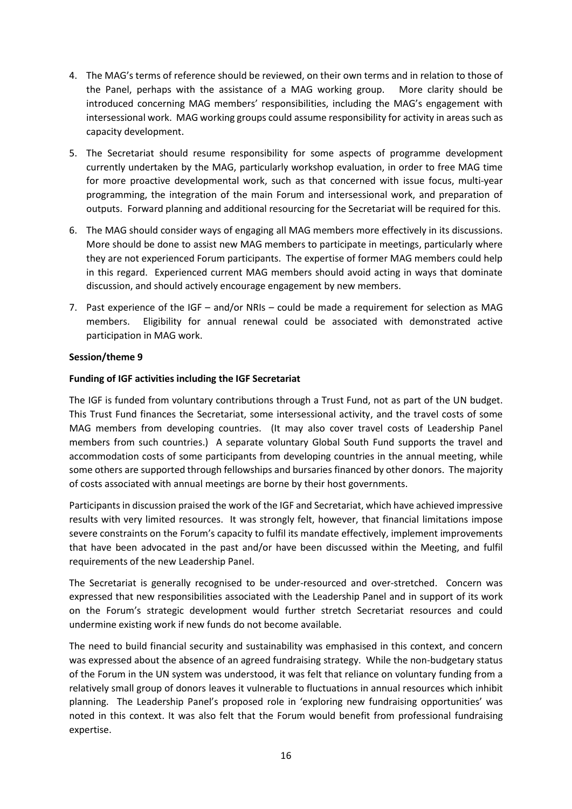- 4. The MAG's terms of reference should be reviewed, on their own terms and in relation to those of the Panel, perhaps with the assistance of a MAG working group. More clarity should be introduced concerning MAG members' responsibilities, including the MAG's engagement with intersessional work. MAG working groups could assume responsibility for activity in areas such as capacity development.
- 5. The Secretariat should resume responsibility for some aspects of programme development currently undertaken by the MAG, particularly workshop evaluation, in order to free MAG time for more proactive developmental work, such as that concerned with issue focus, multi-year programming, the integration of the main Forum and intersessional work, and preparation of outputs. Forward planning and additional resourcing for the Secretariat will be required for this.
- 6. The MAG should consider ways of engaging all MAG members more effectively in its discussions. More should be done to assist new MAG members to participate in meetings, particularly where they are not experienced Forum participants. The expertise of former MAG members could help in this regard. Experienced current MAG members should avoid acting in ways that dominate discussion, and should actively encourage engagement by new members.
- 7. Past experience of the IGF and/or NRIs could be made a requirement for selection as MAG members. Eligibility for annual renewal could be associated with demonstrated active participation in MAG work.

# **Session/theme 9**

# **Funding of IGF activities including the IGF Secretariat**

The IGF is funded from voluntary contributions through a Trust Fund, not as part of the UN budget. This Trust Fund finances the Secretariat, some intersessional activity, and the travel costs of some MAG members from developing countries. (It may also cover travel costs of Leadership Panel members from such countries.) A separate voluntary Global South Fund supports the travel and accommodation costs of some participants from developing countries in the annual meeting, while some others are supported through fellowships and bursaries financed by other donors. The majority of costs associated with annual meetings are borne by their host governments.

Participants in discussion praised the work of the IGF and Secretariat, which have achieved impressive results with very limited resources. It was strongly felt, however, that financial limitations impose severe constraints on the Forum's capacity to fulfil its mandate effectively, implement improvements that have been advocated in the past and/or have been discussed within the Meeting, and fulfil requirements of the new Leadership Panel.

The Secretariat is generally recognised to be under-resourced and over-stretched. Concern was expressed that new responsibilities associated with the Leadership Panel and in support of its work on the Forum's strategic development would further stretch Secretariat resources and could undermine existing work if new funds do not become available.

The need to build financial security and sustainability was emphasised in this context, and concern was expressed about the absence of an agreed fundraising strategy. While the non-budgetary status of the Forum in the UN system was understood, it was felt that reliance on voluntary funding from a relatively small group of donors leaves it vulnerable to fluctuations in annual resources which inhibit planning. The Leadership Panel's proposed role in 'exploring new fundraising opportunities' was noted in this context. It was also felt that the Forum would benefit from professional fundraising expertise.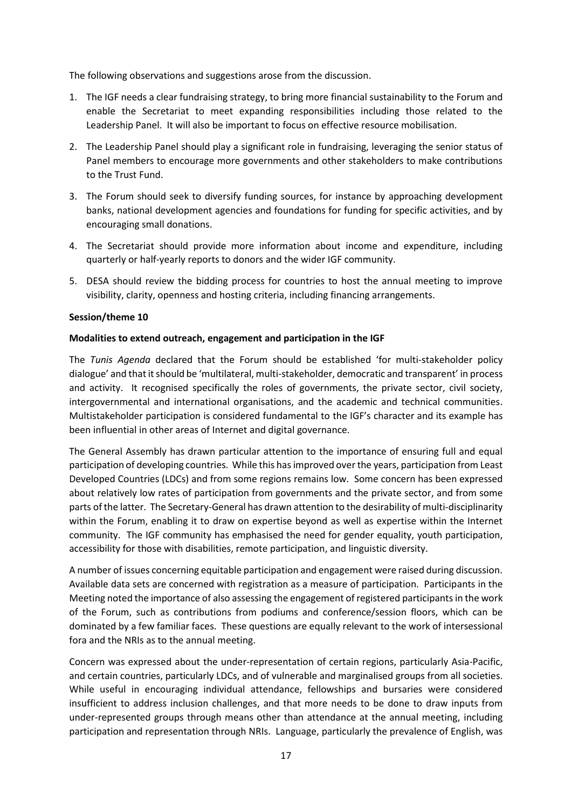The following observations and suggestions arose from the discussion.

- 1. The IGF needs a clear fundraising strategy, to bring more financial sustainability to the Forum and enable the Secretariat to meet expanding responsibilities including those related to the Leadership Panel. It will also be important to focus on effective resource mobilisation.
- 2. The Leadership Panel should play a significant role in fundraising, leveraging the senior status of Panel members to encourage more governments and other stakeholders to make contributions to the Trust Fund.
- 3. The Forum should seek to diversify funding sources, for instance by approaching development banks, national development agencies and foundations for funding for specific activities, and by encouraging small donations.
- 4. The Secretariat should provide more information about income and expenditure, including quarterly or half-yearly reports to donors and the wider IGF community.
- 5. DESA should review the bidding process for countries to host the annual meeting to improve visibility, clarity, openness and hosting criteria, including financing arrangements.

# **Session/theme 10**

# **Modalities to extend outreach, engagement and participation in the IGF**

The *Tunis Agenda* declared that the Forum should be established 'for multi-stakeholder policy dialogue' and that it should be 'multilateral, multi-stakeholder, democratic and transparent' in process and activity. It recognised specifically the roles of governments, the private sector, civil society, intergovernmental and international organisations, and the academic and technical communities. Multistakeholder participation is considered fundamental to the IGF's character and its example has been influential in other areas of Internet and digital governance.

The General Assembly has drawn particular attention to the importance of ensuring full and equal participation of developing countries. While this has improved over the years, participation from Least Developed Countries (LDCs) and from some regions remains low. Some concern has been expressed about relatively low rates of participation from governments and the private sector, and from some parts of the latter. The Secretary-General has drawn attention to the desirability of multi-disciplinarity within the Forum, enabling it to draw on expertise beyond as well as expertise within the Internet community. The IGF community has emphasised the need for gender equality, youth participation, accessibility for those with disabilities, remote participation, and linguistic diversity.

A number of issues concerning equitable participation and engagement were raised during discussion. Available data sets are concerned with registration as a measure of participation. Participants in the Meeting noted the importance of also assessing the engagement of registered participants in the work of the Forum, such as contributions from podiums and conference/session floors, which can be dominated by a few familiar faces. These questions are equally relevant to the work of intersessional fora and the NRIs as to the annual meeting.

Concern was expressed about the under-representation of certain regions, particularly Asia-Pacific, and certain countries, particularly LDCs, and of vulnerable and marginalised groups from all societies. While useful in encouraging individual attendance, fellowships and bursaries were considered insufficient to address inclusion challenges, and that more needs to be done to draw inputs from under-represented groups through means other than attendance at the annual meeting, including participation and representation through NRIs. Language, particularly the prevalence of English, was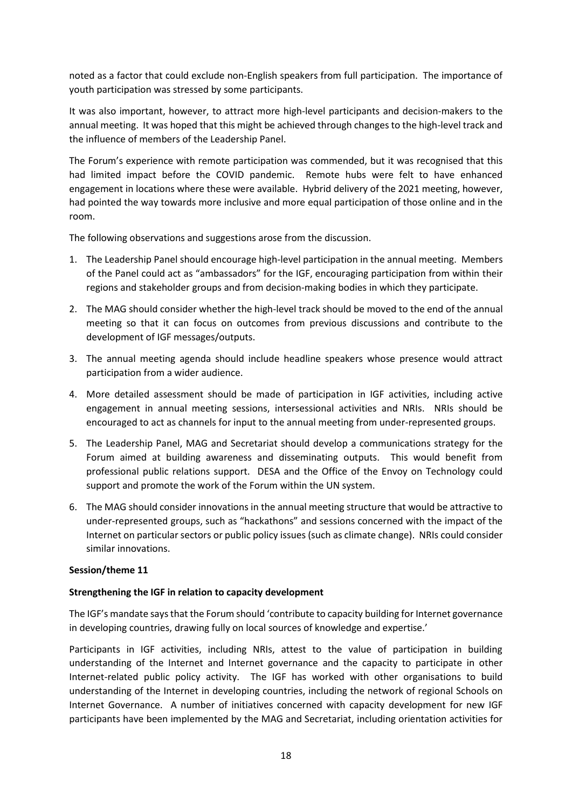noted as a factor that could exclude non-English speakers from full participation. The importance of youth participation was stressed by some participants.

It was also important, however, to attract more high-level participants and decision-makers to the annual meeting. It was hoped that this might be achieved through changes to the high-level track and the influence of members of the Leadership Panel.

The Forum's experience with remote participation was commended, but it was recognised that this had limited impact before the COVID pandemic. Remote hubs were felt to have enhanced engagement in locations where these were available. Hybrid delivery of the 2021 meeting, however, had pointed the way towards more inclusive and more equal participation of those online and in the room.

The following observations and suggestions arose from the discussion.

- 1. The Leadership Panel should encourage high-level participation in the annual meeting. Members of the Panel could act as "ambassadors" for the IGF, encouraging participation from within their regions and stakeholder groups and from decision-making bodies in which they participate.
- 2. The MAG should consider whether the high-level track should be moved to the end of the annual meeting so that it can focus on outcomes from previous discussions and contribute to the development of IGF messages/outputs.
- 3. The annual meeting agenda should include headline speakers whose presence would attract participation from a wider audience.
- 4. More detailed assessment should be made of participation in IGF activities, including active engagement in annual meeting sessions, intersessional activities and NRIs. NRIs should be encouraged to act as channels for input to the annual meeting from under-represented groups.
- 5. The Leadership Panel, MAG and Secretariat should develop a communications strategy for the Forum aimed at building awareness and disseminating outputs. This would benefit from professional public relations support. DESA and the Office of the Envoy on Technology could support and promote the work of the Forum within the UN system.
- 6. The MAG should consider innovations in the annual meeting structure that would be attractive to under-represented groups, such as "hackathons" and sessions concerned with the impact of the Internet on particular sectors or public policy issues (such as climate change). NRIs could consider similar innovations.

### **Session/theme 11**

### **Strengthening the IGF in relation to capacity development**

The IGF's mandate says that the Forum should 'contribute to capacity building for Internet governance in developing countries, drawing fully on local sources of knowledge and expertise.'

Participants in IGF activities, including NRIs, attest to the value of participation in building understanding of the Internet and Internet governance and the capacity to participate in other Internet-related public policy activity. The IGF has worked with other organisations to build understanding of the Internet in developing countries, including the network of regional Schools on Internet Governance. A number of initiatives concerned with capacity development for new IGF participants have been implemented by the MAG and Secretariat, including orientation activities for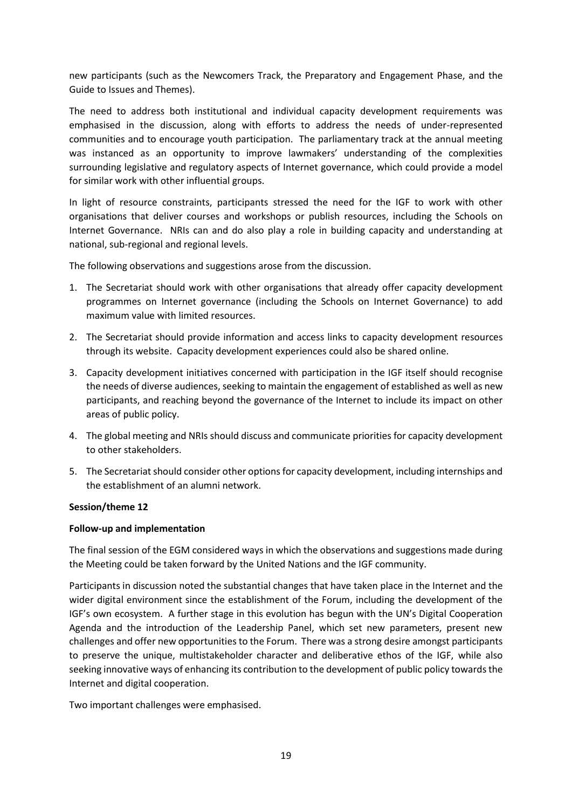new participants (such as the Newcomers Track, the Preparatory and Engagement Phase, and the Guide to Issues and Themes).

The need to address both institutional and individual capacity development requirements was emphasised in the discussion, along with efforts to address the needs of under-represented communities and to encourage youth participation. The parliamentary track at the annual meeting was instanced as an opportunity to improve lawmakers' understanding of the complexities surrounding legislative and regulatory aspects of Internet governance, which could provide a model for similar work with other influential groups.

In light of resource constraints, participants stressed the need for the IGF to work with other organisations that deliver courses and workshops or publish resources, including the Schools on Internet Governance. NRIs can and do also play a role in building capacity and understanding at national, sub-regional and regional levels.

The following observations and suggestions arose from the discussion.

- 1. The Secretariat should work with other organisations that already offer capacity development programmes on Internet governance (including the Schools on Internet Governance) to add maximum value with limited resources.
- 2. The Secretariat should provide information and access links to capacity development resources through its website. Capacity development experiences could also be shared online.
- 3. Capacity development initiatives concerned with participation in the IGF itself should recognise the needs of diverse audiences, seeking to maintain the engagement of established as well as new participants, and reaching beyond the governance of the Internet to include its impact on other areas of public policy.
- 4. The global meeting and NRIs should discuss and communicate priorities for capacity development to other stakeholders.
- 5. The Secretariat should consider other options for capacity development, including internships and the establishment of an alumni network.

# **Session/theme 12**

### **Follow-up and implementation**

The final session of the EGM considered ways in which the observations and suggestions made during the Meeting could be taken forward by the United Nations and the IGF community.

Participants in discussion noted the substantial changes that have taken place in the Internet and the wider digital environment since the establishment of the Forum, including the development of the IGF's own ecosystem. A further stage in this evolution has begun with the UN's Digital Cooperation Agenda and the introduction of the Leadership Panel, which set new parameters, present new challenges and offer new opportunities to the Forum. There was a strong desire amongst participants to preserve the unique, multistakeholder character and deliberative ethos of the IGF, while also seeking innovative ways of enhancing its contribution to the development of public policy towards the Internet and digital cooperation.

Two important challenges were emphasised.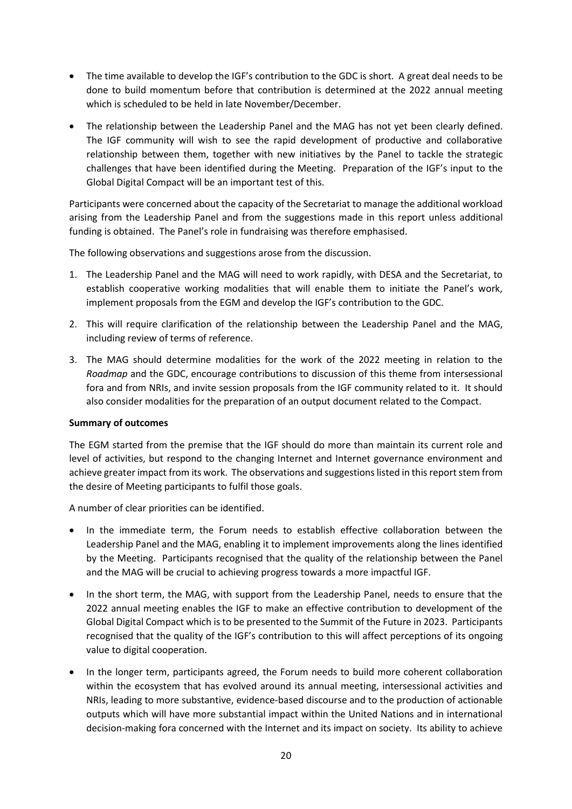- The time available to develop the IGF's contribution to the GDC is short. A great deal needs to be done to build momentum before that contribution is determined at the 2022 annual meeting which is scheduled to be held in late November/December.
- The relationship between the Leadership Panel and the MAG has not yet been clearly defined. The IGF community will wish to see the rapid development of productive and collaborative relationship between them, together with new initiatives by the Panel to tackle the strategic challenges that have been identified during the Meeting. Preparation of the IGF's input to the Global Digital Compact will be an important test of this.

Participants were concerned about the capacity of the Secretariat to manage the additional workload arising from the Leadership Panel and from the suggestions made in this report unless additional funding is obtained. The Panel's role in fundraising was therefore emphasised.

The following observations and suggestions arose from the discussion.

- 1. The Leadership Panel and the MAG will need to work rapidly, with DESA and the Secretariat, to establish cooperative working modalities that will enable them to initiate the Panel's work, implement proposals from the EGM and develop the IGF's contribution to the GDC.
- 2. This will require clarification of the relationship between the Leadership Panel and the MAG, including review of terms of reference.
- 3. The MAG should determine modalities for the work of the 2022 meeting in relation to the *Roadmap* and the GDC, encourage contributions to discussion of this theme from intersessional fora and from NRIs, and invite session proposals from the IGF community related to it. It should also consider modalities for the preparation of an output document related to the Compact.

### **Summary of outcomes**

The EGM started from the premise that the IGF should do more than maintain its current role and level of activities, but respond to the changing Internet and Internet governance environment and achieve greater impact from its work. The observations and suggestions listed in this report stem from the desire of Meeting participants to fulfil those goals.

A number of clear priorities can be identified.

- In the immediate term, the Forum needs to establish effective collaboration between the Leadership Panel and the MAG, enabling it to implement improvements along the lines identified by the Meeting. Participants recognised that the quality of the relationship between the Panel and the MAG will be crucial to achieving progress towards a more impactful IGF.
- In the short term, the MAG, with support from the Leadership Panel, needs to ensure that the 2022 annual meeting enables the IGF to make an effective contribution to development of the Global Digital Compact which is to be presented to the Summit of the Future in 2023. Participants recognised that the quality of the IGF's contribution to this will affect perceptions of its ongoing value to digital cooperation.
- In the longer term, participants agreed, the Forum needs to build more coherent collaboration within the ecosystem that has evolved around its annual meeting, intersessional activities and NRIs, leading to more substantive, evidence-based discourse and to the production of actionable outputs which will have more substantial impact within the United Nations and in international decision-making fora concerned with the Internet and its impact on society. Its ability to achieve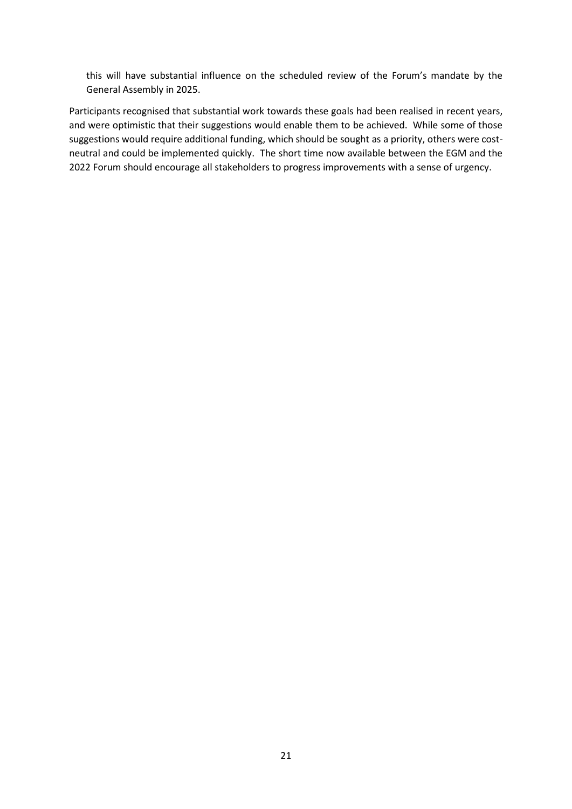this will have substantial influence on the scheduled review of the Forum's mandate by the General Assembly in 2025.

Participants recognised that substantial work towards these goals had been realised in recent years, and were optimistic that their suggestions would enable them to be achieved. While some of those suggestions would require additional funding, which should be sought as a priority, others were costneutral and could be implemented quickly. The short time now available between the EGM and the 2022 Forum should encourage all stakeholders to progress improvements with a sense of urgency.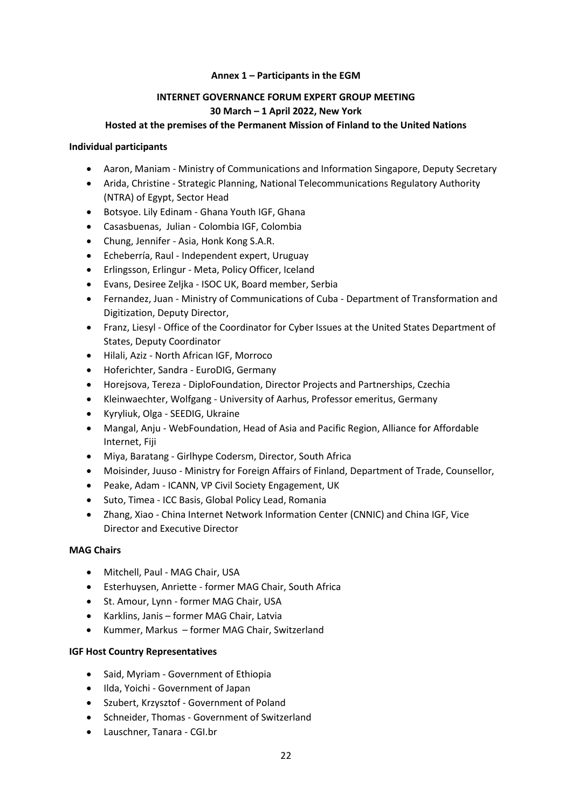# **Annex 1 – Participants in the EGM**

# **INTERNET GOVERNANCE FORUM EXPERT GROUP MEETING 30 March – 1 April 2022, New York**

### **Hosted at the premises of the Permanent Mission of Finland to the United Nations**

### **Individual participants**

- Aaron, Maniam Ministry of Communications and Information Singapore, Deputy Secretary
- Arida, Christine Strategic Planning, National Telecommunications Regulatory Authority (NTRA) of Egypt, Sector Head
- Botsyoe. Lily Edinam Ghana Youth IGF, Ghana
- Casasbuenas, Julian Colombia IGF, Colombia
- Chung, Jennifer Asia, Honk Kong S.A.R.
- Echeberría, Raul Independent expert, Uruguay
- Erlingsson, Erlingur Meta, Policy Officer, Iceland
- Evans, Desiree Zeljka ISOC UK, Board member, Serbia
- Fernandez, Juan Ministry of Communications of Cuba Department of Transformation and Digitization, Deputy Director,
- Franz, Liesyl Office of the Coordinator for Cyber Issues at the United States Department of States, Deputy Coordinator
- Hilali, Aziz North African IGF, Morroco
- Hoferichter, Sandra EuroDIG, Germany
- Horejsova, Tereza DiploFoundation, Director Projects and Partnerships, Czechia
- Kleinwaechter, Wolfgang University of Aarhus, Professor emeritus, Germany
- Kyryliuk, Olga SEEDIG, Ukraine
- Mangal, Anju WebFoundation, Head of Asia and Pacific Region, Alliance for Affordable Internet, Fiji
- Miya, Baratang Girlhype Codersm, Director, South Africa
- Moisinder, Juuso Ministry for Foreign Affairs of Finland, Department of Trade, Counsellor,
- Peake, Adam ICANN, VP Civil Society Engagement, UK
- Suto, Timea ICC Basis, Global Policy Lead, Romania
- Zhang, Xiao China Internet Network Information Center (CNNIC) and China IGF, Vice Director and Executive Director

### **MAG Chairs**

- Mitchell, Paul MAG Chair, USA
- Esterhuysen, Anriette former MAG Chair, South Africa
- St. Amour, Lynn former MAG Chair, USA
- Karklins, Janis former MAG Chair, Latvia
- Kummer, Markus former MAG Chair, Switzerland

# **IGF Host Country Representatives**

- Said, Myriam Government of Ethiopia
- Ilda, Yoichi Government of Japan
- Szubert, Krzysztof Government of Poland
- Schneider, Thomas Government of Switzerland
- Lauschner, Tanara CGI.br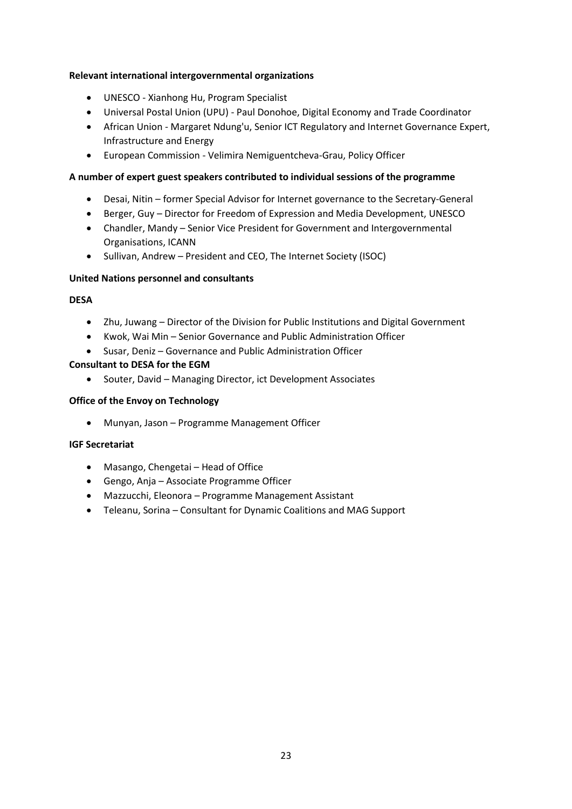# **Relevant international intergovernmental organizations**

- UNESCO Xianhong Hu, Program Specialist
- Universal Postal Union (UPU) Paul Donohoe, Digital Economy and Trade Coordinator
- African Union Margaret Ndung'u, Senior ICT Regulatory and Internet Governance Expert, Infrastructure and Energy
- European Commission Velimira Nemiguentcheva-Grau, Policy Officer

# **A number of expert guest speakers contributed to individual sessions of the programme**

- Desai, Nitin former Special Advisor for Internet governance to the Secretary-General
- Berger, Guy Director for Freedom of Expression and Media Development, UNESCO
- Chandler, Mandy Senior Vice President for Government and Intergovernmental Organisations, ICANN
- Sullivan, Andrew President and CEO, The Internet Society (ISOC)

# **United Nations personnel and consultants**

# **DESA**

- Zhu, Juwang Director of the Division for Public Institutions and Digital Government
- Kwok, Wai Min Senior Governance and Public Administration Officer
- Susar, Deniz Governance and Public Administration Officer

# **Consultant to DESA for the EGM**

• Souter, David – Managing Director, ict Development Associates

# **Office of the Envoy on Technology**

• Munyan, Jason – Programme Management Officer

# **IGF Secretariat**

- Masango, Chengetai Head of Office
- Gengo, Anja Associate Programme Officer
- Mazzucchi, Eleonora Programme Management Assistant
- Teleanu, Sorina Consultant for Dynamic Coalitions and MAG Support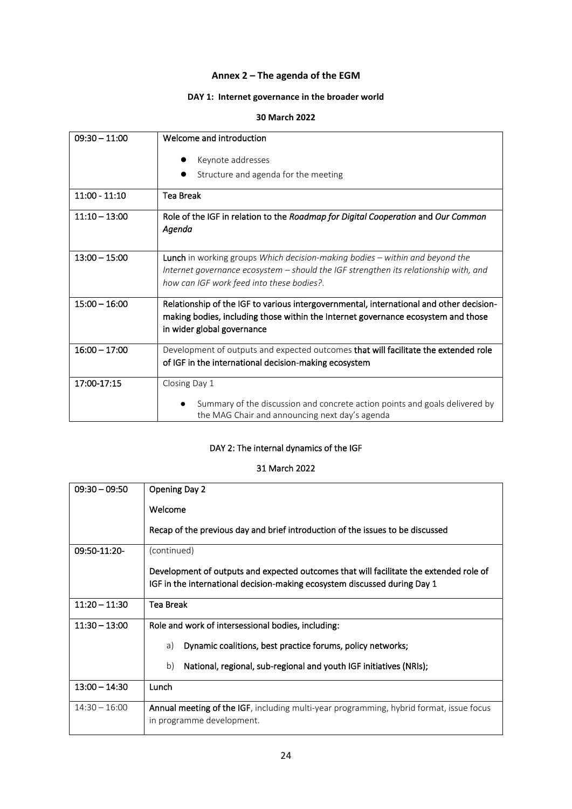# **Annex 2 – The agenda of the EGM**

# **DAY 1: Internet governance in the broader world**

#### **30 March 2022**

| $09:30 - 11:00$ | Welcome and introduction                                                                |
|-----------------|-----------------------------------------------------------------------------------------|
|                 |                                                                                         |
|                 | Keynote addresses                                                                       |
|                 | Structure and agenda for the meeting                                                    |
| $11:00 - 11:10$ | <b>Tea Break</b>                                                                        |
|                 |                                                                                         |
| $11:10 - 13:00$ | Role of the IGF in relation to the Roadmap for Digital Cooperation and Our Common       |
|                 | Agenda                                                                                  |
|                 |                                                                                         |
| $13:00 - 15:00$ |                                                                                         |
|                 | <b>Lunch</b> in working groups Which decision-making bodies - within and beyond the     |
|                 | Internet governance ecosystem - should the IGF strengthen its relationship with, and    |
|                 | how can IGF work feed into these bodies?.                                               |
| $15:00 - 16:00$ |                                                                                         |
|                 | Relationship of the IGF to various intergovernmental, international and other decision- |
|                 | making bodies, including those within the Internet governance ecosystem and those       |
|                 | in wider global governance                                                              |
| $16:00 - 17:00$ | Development of outputs and expected outcomes that will facilitate the extended role     |
|                 |                                                                                         |
|                 | of IGF in the international decision-making ecosystem                                   |
| 17:00-17:15     | Closing Day 1                                                                           |
|                 |                                                                                         |
|                 | Summary of the discussion and concrete action points and goals delivered by             |
|                 | the MAG Chair and announcing next day's agenda                                          |

# DAY 2: The internal dynamics of the IGF

# 31 March 2022

| $09:30 - 09:50$ | <b>Opening Day 2</b>                                                                                                                                                |
|-----------------|---------------------------------------------------------------------------------------------------------------------------------------------------------------------|
|                 | Welcome                                                                                                                                                             |
|                 | Recap of the previous day and brief introduction of the issues to be discussed                                                                                      |
| 09:50-11:20-    | (continued)                                                                                                                                                         |
|                 | Development of outputs and expected outcomes that will facilitate the extended role of<br>IGF in the international decision-making ecosystem discussed during Day 1 |
| $11:20 - 11:30$ | <b>Tea Break</b>                                                                                                                                                    |
| $11:30 - 13:00$ | Role and work of intersessional bodies, including:                                                                                                                  |
|                 | Dynamic coalitions, best practice forums, policy networks;<br>a)                                                                                                    |
|                 | b)<br>National, regional, sub-regional and youth IGF initiatives (NRIs);                                                                                            |
| $13:00 - 14:30$ | Lunch                                                                                                                                                               |
| $14:30 - 16:00$ | Annual meeting of the IGF, including multi-year programming, hybrid format, issue focus<br>in programme development.                                                |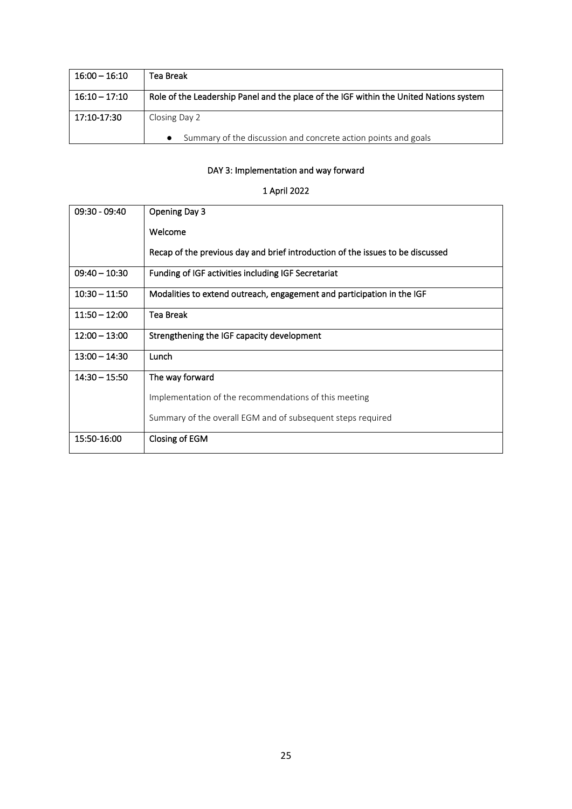| $16:00 - 16:10$ | Tea Break                                                                              |
|-----------------|----------------------------------------------------------------------------------------|
| $16:10 - 17:10$ | Role of the Leadership Panel and the place of the IGF within the United Nations system |
| 17:10-17:30     | Closing Day 2                                                                          |
|                 | Summary of the discussion and concrete action points and goals                         |

# DAY 3: Implementation and way forward

# 1 April 2022

| $09:30 - 09:40$ | Opening Day 3                                                                  |
|-----------------|--------------------------------------------------------------------------------|
|                 | Welcome                                                                        |
|                 | Recap of the previous day and brief introduction of the issues to be discussed |
| $09:40 - 10:30$ | Funding of IGF activities including IGF Secretariat                            |
| $10:30 - 11:50$ | Modalities to extend outreach, engagement and participation in the IGF         |
| $11:50 - 12:00$ | Tea Break                                                                      |
| $12:00 - 13:00$ | Strengthening the IGF capacity development                                     |
| $13:00 - 14:30$ | Lunch                                                                          |
| $14:30 - 15:50$ | The way forward                                                                |
|                 | Implementation of the recommendations of this meeting                          |
|                 | Summary of the overall EGM and of subsequent steps required                    |
| 15:50-16:00     | Closing of EGM                                                                 |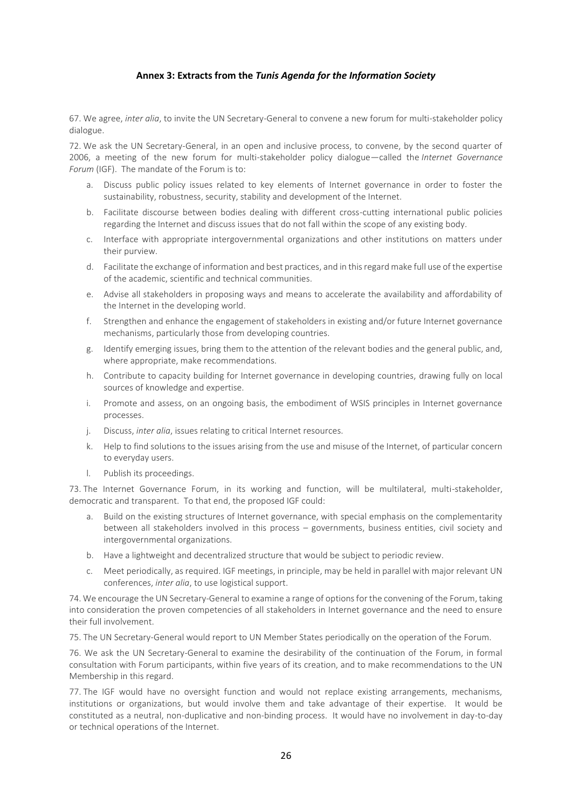### **Annex 3: Extracts from the** *Tunis Agenda for the Information Society*

67. We agree, *inter alia*, to invite the UN Secretary-General to convene a new forum for multi-stakeholder policy dialogue.

72. We ask the UN Secretary-General, in an open and inclusive process, to convene, by the second quarter of 2006, a meeting of the new forum for multi-stakeholder policy dialogue—called the *Internet Governance Forum* (IGF). The mandate of the Forum is to:

- a. Discuss public policy issues related to key elements of Internet governance in order to foster the sustainability, robustness, security, stability and development of the Internet.
- b. Facilitate discourse between bodies dealing with different cross-cutting international public policies regarding the Internet and discuss issues that do not fall within the scope of any existing body.
- c. Interface with appropriate intergovernmental organizations and other institutions on matters under their purview.
- d. Facilitate the exchange of information and best practices, and in this regard make full use of the expertise of the academic, scientific and technical communities.
- e. Advise all stakeholders in proposing ways and means to accelerate the availability and affordability of the Internet in the developing world.
- f. Strengthen and enhance the engagement of stakeholders in existing and/or future Internet governance mechanisms, particularly those from developing countries.
- g. Identify emerging issues, bring them to the attention of the relevant bodies and the general public, and, where appropriate, make recommendations.
- h. Contribute to capacity building for Internet governance in developing countries, drawing fully on local sources of knowledge and expertise.
- i. Promote and assess, on an ongoing basis, the embodiment of WSIS principles in Internet governance processes.
- j. Discuss, *inter alia*, issues relating to critical Internet resources.
- k. Help to find solutions to the issues arising from the use and misuse of the Internet, of particular concern to everyday users.
- l. Publish its proceedings.

73. The Internet Governance Forum, in its working and function, will be multilateral, multi-stakeholder, democratic and transparent. To that end, the proposed IGF could:

- a. Build on the existing structures of Internet governance, with special emphasis on the complementarity between all stakeholders involved in this process – governments, business entities, civil society and intergovernmental organizations.
- b. Have a lightweight and decentralized structure that would be subject to periodic review.
- c. Meet periodically, as required. IGF meetings, in principle, may be held in parallel with major relevant UN conferences, *inter alia*, to use logistical support.

74. We encourage the UN Secretary-General to examine a range of options for the convening of the Forum, taking into consideration the proven competencies of all stakeholders in Internet governance and the need to ensure their full involvement.

75. The UN Secretary-General would report to UN Member States periodically on the operation of the Forum.

76. We ask the UN Secretary-General to examine the desirability of the continuation of the Forum, in formal consultation with Forum participants, within five years of its creation, and to make recommendations to the UN Membership in this regard.

77. The IGF would have no oversight function and would not replace existing arrangements, mechanisms, institutions or organizations, but would involve them and take advantage of their expertise. It would be constituted as a neutral, non-duplicative and non-binding process. It would have no involvement in day-to-day or technical operations of the Internet.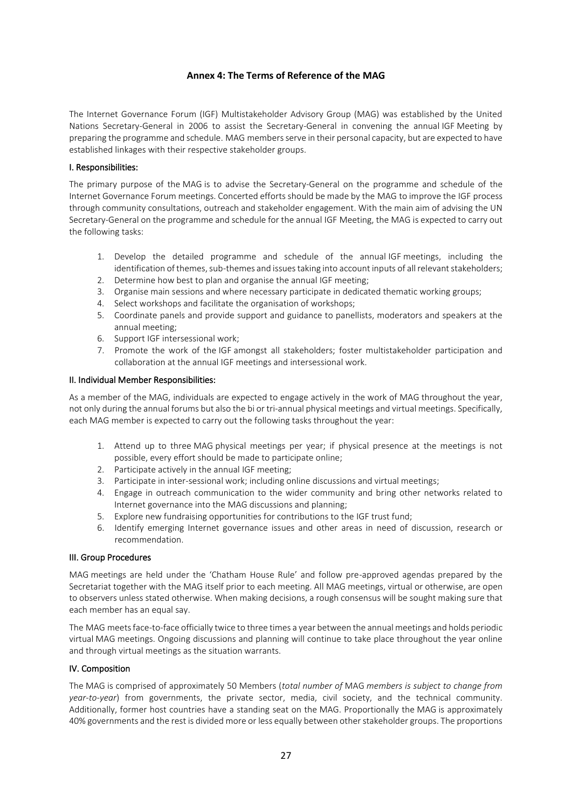#### **Annex 4: The Terms of Reference of the MAG**

The Internet Governance Forum (IGF) Multistakeholder Advisory Group (MAG) was established by the United Nations Secretary-General in 2006 to assist the Secretary-General in convening the annual IGF Meeting by preparing the programme and schedule. MAG members serve in their personal capacity, but are expected to have established linkages with their respective stakeholder groups.

#### I. Responsibilities:

The primary purpose of the MAG is to advise the Secretary-General on the programme and schedule of the Internet Governance Forum meetings. Concerted efforts should be made by the MAG to improve the IGF process through community consultations, outreach and stakeholder engagement. With the main aim of advising the UN Secretary-General on the programme and schedule for the annual IGF Meeting, the MAG is expected to carry out the following tasks:

- 1. Develop the detailed programme and schedule of the annual IGF meetings, including the identification of themes, sub-themes and issues taking into account inputs of all relevant stakeholders;
- 2. Determine how best to plan and organise the annual IGF meeting;
- 3. Organise main sessions and where necessary participate in dedicated thematic working groups;
- 4. Select workshops and facilitate the organisation of workshops;
- 5. Coordinate panels and provide support and guidance to panellists, moderators and speakers at the annual meeting;
- 6. Support IGF intersessional work;
- 7. Promote the work of the IGF amongst all stakeholders; foster multistakeholder participation and collaboration at the annual IGF meetings and intersessional work.

#### II. Individual Member Responsibilities:

As a member of the MAG, individuals are expected to engage actively in the work of MAG throughout the year, not only during the annual forums but also the bi or tri-annual physical meetings and virtual meetings. Specifically, each MAG member is expected to carry out the following tasks throughout the year:

- 1. Attend up to three MAG physical meetings per year; if physical presence at the meetings is not possible, every effort should be made to participate online;
- 2. Participate actively in the annual IGF meeting;
- 3. Participate in inter-sessional work; including online discussions and virtual meetings;
- 4. Engage in outreach communication to the wider community and bring other networks related to Internet governance into the MAG discussions and planning;
- 5. Explore new fundraising opportunities for contributions to the IGF trust fund;
- 6. Identify emerging Internet governance issues and other areas in need of discussion, research or recommendation.

#### III. Group Procedures

MAG meetings are held under the 'Chatham House Rule' and follow pre-approved agendas prepared by the Secretariat together with the MAG itself prior to each meeting. All MAG meetings, virtual or otherwise, are open to observers unless stated otherwise. When making decisions, a rough consensus will be sought making sure that each member has an equal say.

The MAG meets face-to-face officially twice to three times a year between the annual meetings and holds periodic virtual MAG meetings. Ongoing discussions and planning will continue to take place throughout the year online and through virtual meetings as the situation warrants.

#### IV. Composition

The MAG is comprised of approximately 50 Members (*total number of* MAG *members is subject to change from year-to-year*) from governments, the private sector, media, civil society, and the technical community. Additionally, former host countries have a standing seat on the MAG. Proportionally the MAG is approximately 40% governments and the rest is divided more or less equally between other stakeholder groups. The proportions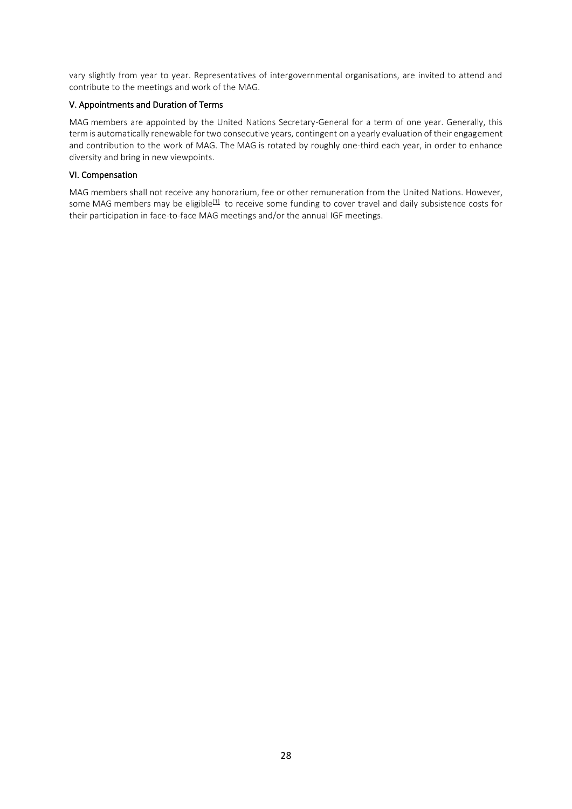vary slightly from year to year. Representatives of intergovernmental organisations, are invited to attend and contribute to the meetings and work of the MAG.

#### V. Appointments and Duration of Terms

MAG members are appointed by the United Nations Secretary-General for a term of one year. Generally, this term is automatically renewable for two consecutive years, contingent on a yearly evaluation of their engagement and contribution to the work of MAG. The MAG is rotated by roughly one-third each year, in order to enhance diversity and bring in new viewpoints.

#### VI. Compensation

MAG members shall not receive any honorarium, fee or other remuneration from the United Nations. However, some MAG members may be eligible<sup>[\[1\]](https://www.intgovforum.org/en/content/mag-terms-of-reference#_ftn1)</sup> to receive some funding to cover travel and daily subsistence costs for their participation in face-to-face MAG meetings and/or the annual IGF meetings.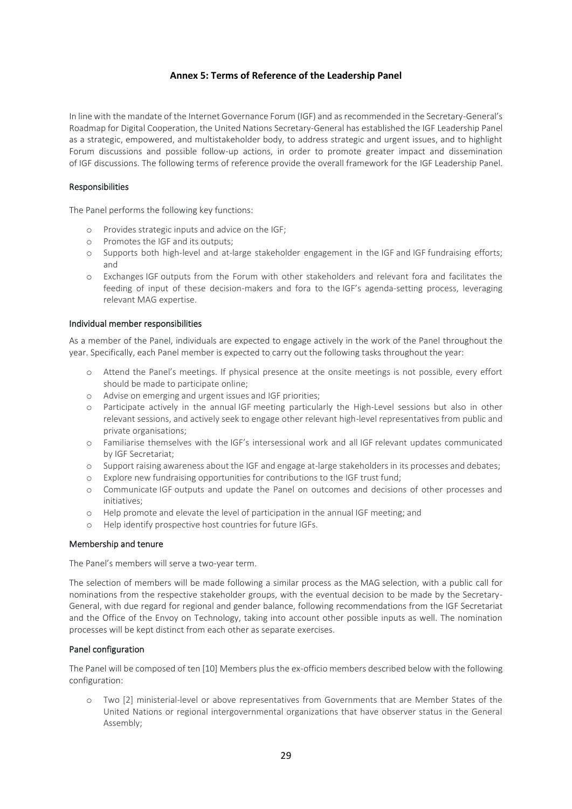#### **Annex 5: Terms of Reference of the Leadership Panel**

In line with the mandate of the Internet Governance Forum (IGF) and as recommended in the Secretary-General's Roadmap for Digital Cooperation, the United Nations Secretary-General has established the IGF Leadership Panel as a strategic, empowered, and multistakeholder body, to address strategic and urgent issues, and to highlight Forum discussions and possible follow-up actions, in order to promote greater impact and dissemination of IGF discussions. The following terms of reference provide the overall framework for the IGF Leadership Panel.

#### Responsibilities

The Panel performs the following key functions:

- o Provides strategic inputs and advice on the IGF;
- o Promotes the IGF and its outputs;
- o Supports both high-level and at-large stakeholder engagement in the IGF and IGF fundraising efforts; and
- o Exchanges IGF outputs from the Forum with other stakeholders and relevant fora and facilitates the feeding of input of these decision-makers and fora to the IGF's agenda-setting process, leveraging relevant MAG expertise.

#### Individual member responsibilities

As a member of the Panel, individuals are expected to engage actively in the work of the Panel throughout the year. Specifically, each Panel member is expected to carry out the following tasks throughout the year:

- o Attend the Panel's meetings. If physical presence at the onsite meetings is not possible, every effort should be made to participate online;
- o Advise on emerging and urgent issues and IGF priorities;
- o Participate actively in the annual IGF meeting particularly the High-Level sessions but also in other relevant sessions, and actively seek to engage other relevant high-level representatives from public and private organisations;
- o Familiarise themselves with the IGF's intersessional work and all IGF relevant updates communicated by IGF Secretariat;
- o Support raising awareness about the IGF and engage at-large stakeholders in its processes and debates;
- o Explore new fundraising opportunities for contributions to the IGF trust fund;
- o Communicate IGF outputs and update the Panel on outcomes and decisions of other processes and initiatives;
- o Help promote and elevate the level of participation in the annual IGF meeting; and
- o Help identify prospective host countries for future IGFs.

#### Membership and tenure

The Panel's members will serve a two-year term.

The selection of members will be made following a similar process as the MAG selection, with a public call for nominations from the respective stakeholder groups, with the eventual decision to be made by the Secretary-General, with due regard for regional and gender balance, following recommendations from the IGF Secretariat and the Office of the Envoy on Technology, taking into account other possible inputs as well. The nomination processes will be kept distinct from each other as separate exercises.

#### Panel configuration

The Panel will be composed of ten [10] Members plus the ex-officio members described below with the following configuration:

o Two [2] ministerial-level or above representatives from Governments that are Member States of the United Nations or regional intergovernmental organizations that have observer status in the General Assembly;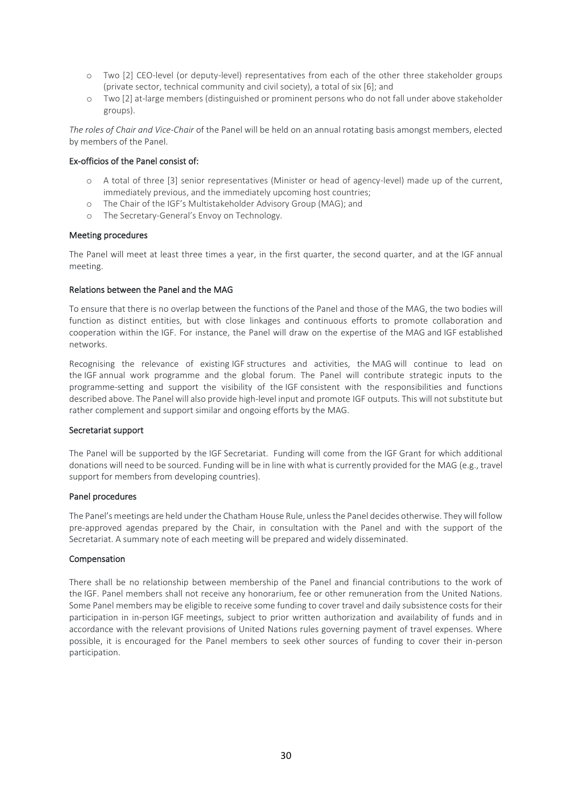- o Two [2] CEO-level (or deputy-level) representatives from each of the other three stakeholder groups (private sector, technical community and civil society), a total of six [6]; and
- o Two [2] at-large members (distinguished or prominent persons who do not fall under above stakeholder groups).

*The roles of Chair and Vice-Chair* of the Panel will be held on an annual rotating basis amongst members, elected by members of the Panel.

#### Ex-officios of the Panel consist of:

- o A total of three [3] senior representatives (Minister or head of agency-level) made up of the current, immediately previous, and the immediately upcoming host countries;
- o The Chair of the IGF's Multistakeholder Advisory Group (MAG); and
- o The Secretary-General's Envoy on Technology.

#### Meeting procedures

The Panel will meet at least three times a year, in the first quarter, the second quarter, and at the IGF annual meeting.

#### Relations between the Panel and the MAG

To ensure that there is no overlap between the functions of the Panel and those of the MAG, the two bodies will function as distinct entities, but with close linkages and continuous efforts to promote collaboration and cooperation within the IGF. For instance, the Panel will draw on the expertise of the MAG and IGF established networks.

Recognising the relevance of existing IGF structures and activities, the MAG will continue to lead on the IGF annual work programme and the global forum. The Panel will contribute strategic inputs to the programme-setting and support the visibility of the IGF consistent with the responsibilities and functions described above. The Panel will also provide high-level input and promote IGF outputs. This will not substitute but rather complement and support similar and ongoing efforts by the MAG.

#### Secretariat support

The Panel will be supported by the IGF Secretariat. Funding will come from the IGF Grant for which additional donations will need to be sourced. Funding will be in line with what is currently provided for the MAG (e.g., travel support for members from developing countries).

#### Panel procedures

The Panel's meetings are held under the Chatham House Rule, unless the Panel decides otherwise. They will follow pre-approved agendas prepared by the Chair, in consultation with the Panel and with the support of the Secretariat. A summary note of each meeting will be prepared and widely disseminated.

#### Compensation

There shall be no relationship between membership of the Panel and financial contributions to the work of the IGF. Panel members shall not receive any honorarium, fee or other remuneration from the United Nations. Some Panel members may be eligible to receive some funding to cover travel and daily subsistence costs for their participation in in-person IGF meetings, subject to prior written authorization and availability of funds and in accordance with the relevant provisions of United Nations rules governing payment of travel expenses. Where possible, it is encouraged for the Panel members to seek other sources of funding to cover their in-person participation.